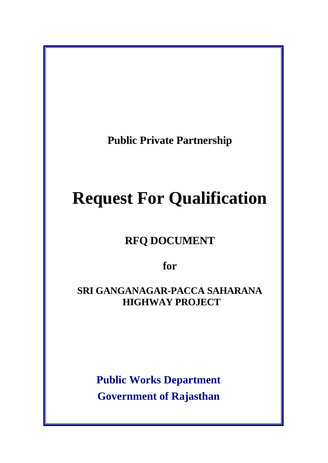**Public Private Partnership** 

# **Request For Qualification**

**RFQ DOCUMENT**

**for** 

**SRI GANGANAGAR-PACCA SAHARANA HIGHWAY PROJECT** 

> **Public Works Department Government of Rajasthan**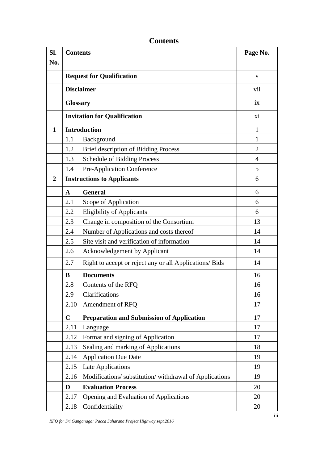| SI.              | <b>Contents</b>                   |                                                         | Page No.       |
|------------------|-----------------------------------|---------------------------------------------------------|----------------|
| No.              |                                   |                                                         |                |
|                  | <b>Request for Qualification</b>  |                                                         | $\mathbf{V}$   |
|                  | <b>Disclaimer</b>                 |                                                         | vii            |
|                  |                                   | <b>Glossary</b>                                         |                |
|                  |                                   | <b>Invitation for Qualification</b>                     |                |
| $\mathbf{1}$     |                                   | <b>Introduction</b>                                     |                |
|                  | 1.1                               | Background                                              | 1              |
|                  | 1.2                               | <b>Brief description of Bidding Process</b>             | $\overline{2}$ |
|                  | 1.3                               | <b>Schedule of Bidding Process</b>                      | 4              |
|                  | 1.4                               | Pre-Application Conference                              | 5              |
| $\boldsymbol{2}$ | <b>Instructions to Applicants</b> |                                                         | 6              |
|                  | $\mathbf{A}$                      | <b>General</b>                                          | 6              |
|                  | 2.1                               | Scope of Application                                    | 6              |
|                  | 2.2                               | <b>Eligibility of Applicants</b>                        | 6              |
|                  | 2.3                               | Change in composition of the Consortium                 | 13             |
|                  | 2.4                               | Number of Applications and costs thereof                | 14             |
|                  | 2.5                               | Site visit and verification of information              | 14             |
|                  | 2.6                               | <b>Acknowledgement by Applicant</b>                     | 14             |
|                  | 2.7                               | Right to accept or reject any or all Applications/ Bids | 14             |
|                  | B                                 | <b>Documents</b>                                        | 16             |
|                  | 2.8                               | Contents of the RFQ                                     | 16             |
|                  | 2.9                               | Clarifications                                          | 16             |
|                  | 2.10                              | Amendment of RFQ                                        | 17             |
|                  | $\mathbf C$                       | <b>Preparation and Submission of Application</b>        | 17             |
|                  | 2.11                              | Language                                                | 17             |
|                  | 2.12                              | Format and signing of Application                       | 17             |
|                  | 2.13                              | Sealing and marking of Applications                     | 18             |
|                  | 2.14                              | <b>Application Due Date</b>                             | 19             |
|                  | 2.15                              | Late Applications                                       | 19             |
|                  | 2.16                              | Modifications/substitution/withdrawal of Applications   | 19             |
|                  | D                                 | <b>Evaluation Process</b>                               | 20             |
|                  | 2.17                              | Opening and Evaluation of Applications                  | 20             |
|                  | 2.18                              | Confidentiality                                         | 20             |

**Contents**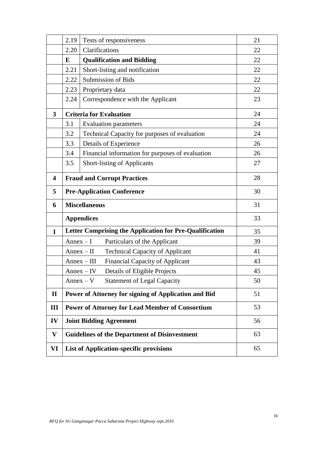|              | 2.19                                                       | Tests of responsiveness                                 | 21 |
|--------------|------------------------------------------------------------|---------------------------------------------------------|----|
|              | 2.20                                                       | Clarifications                                          | 22 |
|              | E                                                          | <b>Qualification and Bidding</b>                        | 22 |
|              | 2.21                                                       | Short-listing and notification                          | 22 |
|              | 2.22                                                       | Submission of Bids                                      | 22 |
|              | 2.23                                                       | Proprietary data                                        | 22 |
|              | 2.24                                                       | Correspondence with the Applicant                       | 23 |
| $\mathbf{3}$ | <b>Criteria for Evaluation</b>                             |                                                         | 24 |
|              | 3.1                                                        | <b>Evaluation parameters</b>                            | 24 |
|              | 3.2                                                        | Technical Capacity for purposes of evaluation           | 24 |
|              | 3.3                                                        | Details of Experience                                   | 26 |
|              | 3.4                                                        | Financial information for purposes of evaluation        | 26 |
|              | 3.5                                                        | <b>Short-listing of Applicants</b>                      | 27 |
| 4            | 28<br><b>Fraud and Corrupt Practices</b>                   |                                                         |    |
| 5            | 30<br><b>Pre-Application Conference</b>                    |                                                         |    |
| 6            | <b>Miscellaneous</b>                                       |                                                         | 31 |
|              |                                                            | <b>Appendices</b>                                       | 33 |
| I            | Letter Comprising the Application for Pre-Qualification    |                                                         | 35 |
|              | $Annex-I$                                                  | Particulars of the Applicant                            | 39 |
|              |                                                            | <b>Technical Capacity of Applicant</b><br>$Annex-II$    | 41 |
|              |                                                            | <b>Financial Capacity of Applicant</b><br>$Annex - III$ | 43 |
|              |                                                            | Details of Eligible Projects<br>$Annex - IV$            | 45 |
|              |                                                            | <b>Statement of Legal Capacity</b><br>$Annex - V$       | 50 |
| $\mathbf{I}$ |                                                            | Power of Attorney for signing of Application and Bid    | 51 |
| III          |                                                            | <b>Power of Attorney for Lead Member of Consortium</b>  | 53 |
| IV           | 56<br><b>Joint Bidding Agreement</b>                       |                                                         |    |
| V            | <b>Guidelines of the Department of Disinvestment</b><br>63 |                                                         |    |
| VI           | <b>List of Application-specific provisions</b><br>65       |                                                         |    |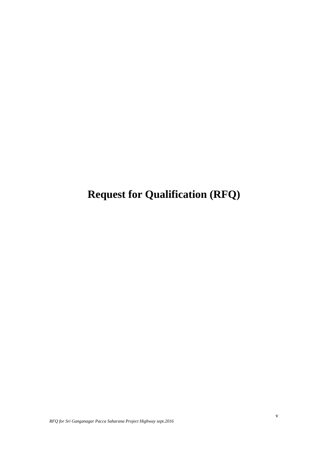**Request for Qualification (RFQ)**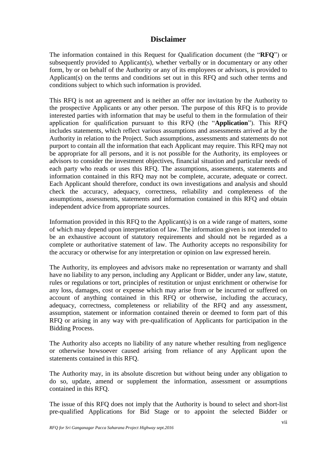# **Disclaimer**

The information contained in this Request for Qualification document (the "**RFQ**") or subsequently provided to Applicant(s), whether verbally or in documentary or any other form, by or on behalf of the Authority or any of its employees or advisors, is provided to Applicant(s) on the terms and conditions set out in this RFQ and such other terms and conditions subject to which such information is provided.

This RFQ is not an agreement and is neither an offer nor invitation by the Authority to the prospective Applicants or any other person. The purpose of this RFQ is to provide interested parties with information that may be useful to them in the formulation of their application for qualification pursuant to this RFQ (the "**Application**"). This RFQ includes statements, which reflect various assumptions and assessments arrived at by the Authority in relation to the Project. Such assumptions, assessments and statements do not purport to contain all the information that each Applicant may require. This RFQ may not be appropriate for all persons, and it is not possible for the Authority, its employees or advisors to consider the investment objectives, financial situation and particular needs of each party who reads or uses this RFQ. The assumptions, assessments, statements and information contained in this RFQ may not be complete, accurate, adequate or correct. Each Applicant should therefore, conduct its own investigations and analysis and should check the accuracy, adequacy, correctness, reliability and completeness of the assumptions, assessments, statements and information contained in this RFQ and obtain independent advice from appropriate sources.

Information provided in this RFQ to the Applicant(s) is on a wide range of matters, some of which may depend upon interpretation of law. The information given is not intended to be an exhaustive account of statutory requirements and should not be regarded as a complete or authoritative statement of law. The Authority accepts no responsibility for the accuracy or otherwise for any interpretation or opinion on law expressed herein.

The Authority, its employees and advisors make no representation or warranty and shall have no liability to any person, including any Applicant or Bidder, under any law, statute, rules or regulations or tort, principles of restitution or unjust enrichment or otherwise for any loss, damages, cost or expense which may arise from or be incurred or suffered on account of anything contained in this RFQ or otherwise, including the accuracy, adequacy, correctness, completeness or reliability of the RFQ and any assessment, assumption, statement or information contained therein or deemed to form part of this RFQ or arising in any way with pre-qualification of Applicants for participation in the Bidding Process.

The Authority also accepts no liability of any nature whether resulting from negligence or otherwise howsoever caused arising from reliance of any Applicant upon the statements contained in this RFQ.

The Authority may, in its absolute discretion but without being under any obligation to do so, update, amend or supplement the information, assessment or assumptions contained in this RFQ.

The issue of this RFQ does not imply that the Authority is bound to select and short-list pre-qualified Applications for Bid Stage or to appoint the selected Bidder or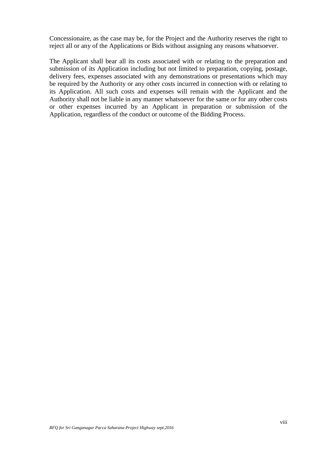Concessionaire, as the case may be, for the Project and the Authority reserves the right to reject all or any of the Applications or Bids without assigning any reasons whatsoever.

The Applicant shall bear all its costs associated with or relating to the preparation and submission of its Application including but not limited to preparation, copying, postage, delivery fees, expenses associated with any demonstrations or presentations which may be required by the Authority or any other costs incurred in connection with or relating to its Application. All such costs and expenses will remain with the Applicant and the Authority shall not be liable in any manner whatsoever for the same or for any other costs or other expenses incurred by an Applicant in preparation or submission of the Application, regardless of the conduct or outcome of the Bidding Process.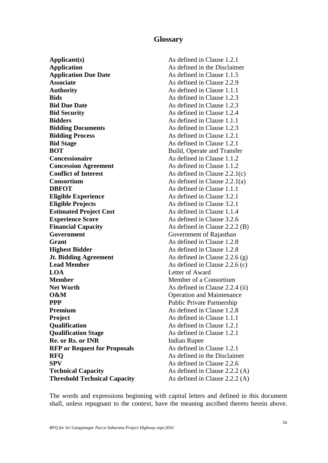# **Glossary**

**Applicant(s)** As defined in Clause 1.2.1 **Application** As defined in the Disclaimer **Application Due Date** As defined in Clause 1.1.5 **Associate** As defined in Clause 2.2.9 **Authority** As defined in Clause 1.1.1 **Bids** As defined in Clause 1.2.3 **Bid Due Date** As defined in Clause 1.2.3 **Bid Security** As defined in Clause 1.2.4 **Bidders As defined in Clause 1.1.1 Bidding Documents As defined in Clause 1.2.3 Bidding Process** As defined in Clause 1.2.1 **Bid Stage** As defined in Clause 1.2.1 **BOT** Build, Operate and Transfer **Concessionaire As defined in Clause 1.1.2 Concession Agreement** As defined in Clause 1.1.2 **Conflict of Interest** As defined in Clause 2.2.1(c) **Consortium** As defined in Clause 2.2.1(a) **DBFOT** As defined in Clause 1.1.1 **Eligible Experience** As defined in Clause 3.2.1 **Eligible Projects** As defined in Clause 3.2.1 **Estimated Project Cost** As defined in Clause 1.1.4 **Experience Score** As defined in Clause 3.2.6 **Financial Capacity** As defined in Clause 2.2.2 (B) **Government Government Government** of Rajasthan **Grant** As defined in Clause 1.2.8 **Highest Bidder** As defined in Clause 1.2.8 **Jt. Bidding Agreement** As defined in Clause 2.2.6 (g) **Lead Member** As defined in Clause 2.2.6 (c) **LOA** Letter of Award **Member** Member of a Consortium **Net Worth** As defined in Clause 2.2.4 (ii) **O&M** Operation and Maintenance **PPP** Public Private Partnership **Premium** As defined in Clause 1.2.8 **Project** As defined in Clause 1.1.1 **Qualification** As defined in Clause 1.2.1 **Qualification Stage** As defined in Clause 1.2.1 **Re. or Rs. or INR** Indian Rupee **RFP or Request for Proposals** As defined in Clause 1.2.1 **RFO** As defined in the Disclaimer **SPV** As defined in Clause 2.2.6 **Technical Capacity** As defined in Clause 2.2.2 (A) **Threshold Technical Capacity** As defined in Clause 2.2.2 (A)

The words and expressions beginning with capital letters and defined in this document shall, unless repugnant to the context, have the meaning ascribed thereto herein above.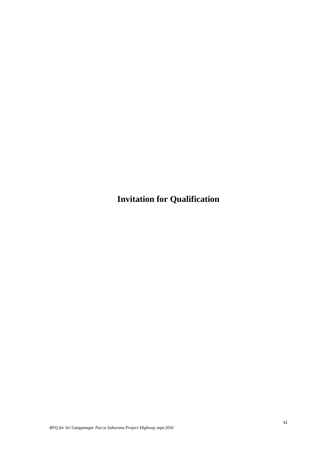**Invitation for Qualification**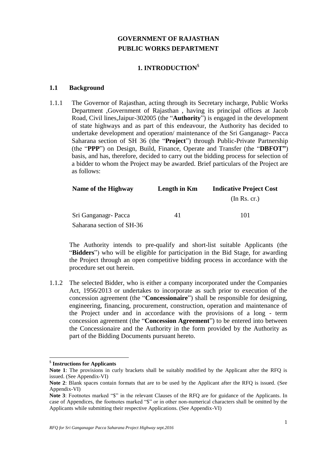# **GOVERNMENT OF RAJASTHAN PUBLIC WORKS DEPARTMENT**

# **1. INTRODUCTION**\$

#### **1.1 Background**

1.1.1 The Governor of Rajasthan, acting through its Secretary incharge, Public Works Department ,Government of Rajasthan , having its principal offices at Jacob Road, Civil lines,Jaipur-302005 (the "**Authority**") is engaged in the development of state highways and as part of this endeavour, the Authority has decided to undertake development and operation/ maintenance of the Sri Ganganagr- Pacca Saharana section of SH 36 (the "**Project**") through Public-Private Partnership (the "**PPP**") on Design, Build, Finance, Operate and Transfer (the "**DBFOT"**) basis, and has, therefore, decided to carry out the bidding process for selection of a bidder to whom the Project may be awarded. Brief particulars of the Project are as follows:

| Name of the Highway       | Length in Km | <b>Indicative Project Cost</b> |  |
|---------------------------|--------------|--------------------------------|--|
|                           |              | (In Rs. cr.)                   |  |
| Sri Ganganagr- Pacca      | 41           | 101                            |  |
| Saharana section of SH-36 |              |                                |  |

The Authority intends to pre-qualify and short-list suitable Applicants (the "**Bidders**") who will be eligible for participation in the Bid Stage, for awarding the Project through an open competitive bidding process in accordance with the procedure set out herein.

1.1.2 The selected Bidder, who is either a company incorporated under the Companies Act, 1956/2013 or undertakes to incorporate as such prior to execution of the concession agreement (the "**Concessionaire**") shall be responsible for designing, engineering, financing, procurement, construction, operation and maintenance of the Project under and in accordance with the provisions of a long - term concession agreement (the "**Concession Agreement**") to be entered into between the Concessionaire and the Authority in the form provided by the Authority as part of the Bidding Documents pursuant hereto.

<sup>\$</sup> **Instructions for Applicants**

**Note 1**: The provisions in curly brackets shall be suitably modified by the Applicant after the RFQ is issued. (See Appendix-VI)

**Note 2**: Blank spaces contain formats that are to be used by the Applicant after the RFQ is issued. (See Appendix-VI)

Note 3: Footnotes marked "\$" in the relevant Clauses of the RFQ are for guidance of the Applicants. In case of Appendices, the footnotes marked "\$" or in other non-numerical characters shall be omitted by the Applicants while submitting their respective Applications. (See Appendix-VI)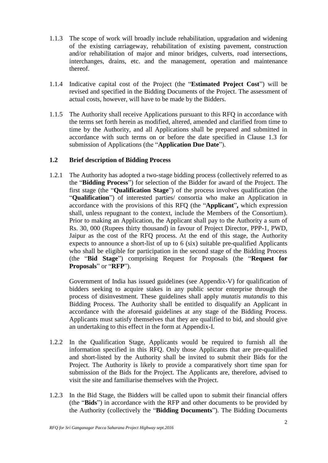- 1.1.3 The scope of work will broadly include rehabilitation, upgradation and widening of the existing carriageway, rehabilitation of existing pavement, construction and/or rehabilitation of major and minor bridges, culverts, road intersections, interchanges, drains, etc. and the management, operation and maintenance thereof.
- 1.1.4 Indicative capital cost of the Project (the "**Estimated Project Cost**") will be revised and specified in the Bidding Documents of the Project. The assessment of actual costs, however, will have to be made by the Bidders.
- 1.1.5 The Authority shall receive Applications pursuant to this RFQ in accordance with the terms set forth herein as modified, altered, amended and clarified from time to time by the Authority, and all Applications shall be prepared and submitted in accordance with such terms on or before the date specified in Clause 1.3 for submission of Applications (the "**Application Due Date**").

# **1.2 Brief description of Bidding Process**

1.2.1 The Authority has adopted a two-stage bidding process (collectively referred to as the "**Bidding Process**") for selection of the Bidder for award of the Project. The first stage (the "**Qualification Stage**") of the process involves qualification (the "**Qualification**") of interested parties/ consortia who make an Application in accordance with the provisions of this RFQ (the "**Applicant**"**,** which expression shall, unless repugnant to the context, include the Members of the Consortium). Prior to making an Application, the Applicant shall pay to the Authority a sum of Rs. 30, 000 (Rupees thirty thousand) in favour of Project Director, PPP-1, PWD, Jaipur as the cost of the RFQ process. At the end of this stage, the Authority expects to announce a short-list of up to 6 (six) suitable pre-qualified Applicants who shall be eligible for participation in the second stage of the Bidding Process (the "**Bid Stage**") comprising Request for Proposals (the "**Request for Proposals**" or "**RFP**").

Government of India has issued guidelines (see Appendix-V) for qualification of bidders seeking to acquire stakes in any public sector enterprise through the process of disinvestment. These guidelines shall apply *mutatis mutandis* to this Bidding Process. The Authority shall be entitled to disqualify an Applicant in accordance with the aforesaid guidelines at any stage of the Bidding Process. Applicants must satisfy themselves that they are qualified to bid, and should give an undertaking to this effect in the form at Appendix-I.

- 1.2.2 In the Qualification Stage, Applicants would be required to furnish all the information specified in this RFQ. Only those Applicants that are pre-qualified and short-listed by the Authority shall be invited to submit their Bids for the Project. The Authority is likely to provide a comparatively short time span for submission of the Bids for the Project. The Applicants are, therefore, advised to visit the site and familiarise themselves with the Project.
- 1.2.3 In the Bid Stage, the Bidders will be called upon to submit their financial offers (the "**Bids**") in accordance with the RFP and other documents to be provided by the Authority (collectively the "**Bidding Documents**"). The Bidding Documents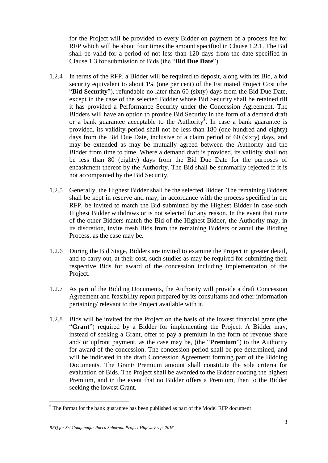for the Project will be provided to every Bidder on payment of a process fee for RFP which will be about four times the amount specified in Clause 1.2.1. The Bid shall be valid for a period of not less than 120 days from the date specified in Clause 1.3 for submission of Bids (the "**Bid Due Date**").

- 1.2.4 In terms of the RFP, a Bidder will be required to deposit, along with its Bid, a bid security equivalent to about 1% (one per cent) of the Estimated Project Cost (the "**Bid Security**"), refundable no later than 60 (sixty) days from the Bid Due Date, except in the case of the selected Bidder whose Bid Security shall be retained till it has provided a Performance Security under the Concession Agreement. The Bidders will have an option to provide Bid Security in the form of a demand draft or a bank guarantee acceptable to the Authority<sup>\$</sup>. In case a bank guarantee is provided, its validity period shall not be less than 180 (one hundred and eighty) days from the Bid Due Date, inclusive of a claim period of 60 (sixty) days, and may be extended as may be mutually agreed between the Authority and the Bidder from time to time. Where a demand draft is provided, its validity shall not be less than 80 (eighty) days from the Bid Due Date for the purposes of encashment thereof by the Authority. The Bid shall be summarily rejected if it is not accompanied by the Bid Security.
- 1.2.5 Generally, the Highest Bidder shall be the selected Bidder. The remaining Bidders shall be kept in reserve and may, in accordance with the process specified in the RFP, be invited to match the Bid submitted by the Highest Bidder in case such Highest Bidder withdraws or is not selected for any reason. In the event that none of the other Bidders match the Bid of the Highest Bidder, the Authority may, in its discretion, invite fresh Bids from the remaining Bidders or annul the Bidding Process, as the case may be.
- 1.2.6 During the Bid Stage, Bidders are invited to examine the Project in greater detail, and to carry out, at their cost, such studies as may be required for submitting their respective Bids for award of the concession including implementation of the Project.
- 1.2.7 As part of the Bidding Documents, the Authority will provide a draft Concession Agreement and feasibility report prepared by its consultants and other information pertaining/ relevant to the Project available with it.
- 1.2.8 Bids will be invited for the Project on the basis of the lowest financial grant (the "**Grant**") required by a Bidder for implementing the Project. A Bidder may, instead of seeking a Grant, offer to pay a premium in the form of revenue share and/ or upfront payment, as the case may be, (the "**Premium**") to the Authority for award of the concession. The concession period shall be pre-determined, and will be indicated in the draft Concession Agreement forming part of the Bidding Documents. The Grant/ Premium amount shall constitute the sole criteria for evaluation of Bids. The Project shall be awarded to the Bidder quoting the highest Premium, and in the event that no Bidder offers a Premium, then to the Bidder seeking the lowest Grant.

<sup>&</sup>lt;sup>\$</sup> The format for the bank guarantee has been published as part of the Model RFP document.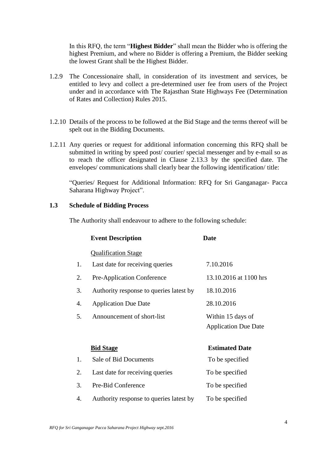In this RFQ, the term "**Highest Bidder**" shall mean the Bidder who is offering the highest Premium, and where no Bidder is offering a Premium, the Bidder seeking the lowest Grant shall be the Highest Bidder.

- 1.2.9 The Concessionaire shall, in consideration of its investment and services, be entitled to levy and collect a pre-determined user fee from users of the Project under and in accordance with The Rajasthan State Highways Fee (Determination of Rates and Collection) Rules 2015.
- 1.2.10 Details of the process to be followed at the Bid Stage and the terms thereof will be spelt out in the Bidding Documents.
- 1.2.11 Any queries or request for additional information concerning this RFQ shall be submitted in writing by speed post/ courier/ special messenger and by e-mail so as to reach the officer designated in Clause 2.13.3 by the specified date. The envelopes/ communications shall clearly bear the following identification/ title:

"Queries/ Request for Additional Information: RFQ for Sri Ganganagar- Pacca Saharana Highway Project".

#### **1.3 Schedule of Bidding Process**

The Authority shall endeavour to adhere to the following schedule:

|    | <b>Event Description</b>                | <b>Date</b>                                      |
|----|-----------------------------------------|--------------------------------------------------|
|    | <b>Qualification Stage</b>              |                                                  |
| 1. | Last date for receiving queries         | 7.10.2016                                        |
| 2. | Pre-Application Conference              | 13.10.2016 at 1100 hrs                           |
| 3. | Authority response to queries latest by | 18.10.2016                                       |
| 4. | <b>Application Due Date</b>             | 28.10.2016                                       |
| 5. | Announcement of short-list              | Within 15 days of<br><b>Application Due Date</b> |
|    | <b>Bid Stage</b>                        | <b>Estimated Date</b>                            |
| 1. | Sale of Bid Documents                   | To be specified                                  |
| 2. | Last date for receiving queries         | To be specified                                  |
| 3. | Pre-Bid Conference                      | To be specified                                  |
| 4. | Authority response to queries latest by | To be specified                                  |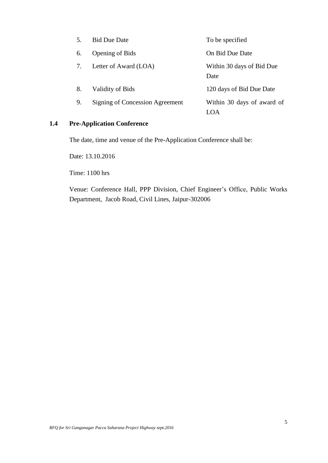| 5. | <b>Bid Due Date</b>             | To be specified                   |
|----|---------------------------------|-----------------------------------|
| 6. | <b>Opening of Bids</b>          | On Bid Due Date                   |
|    | Letter of Award (LOA)           | Within 30 days of Bid Due<br>Date |
| 8. | Validity of Bids                | 120 days of Bid Due Date          |
| 9. | Signing of Concession Agreement | Within 30 days of award of        |

# **1.4 Pre-Application Conference**

The date, time and venue of the Pre-Application Conference shall be:

Date: 13.10.2016

Time: 1100 hrs

Venue: Conference Hall, PPP Division, Chief Engineer"s Office, Public Works Department, Jacob Road, Civil Lines, Jaipur-302006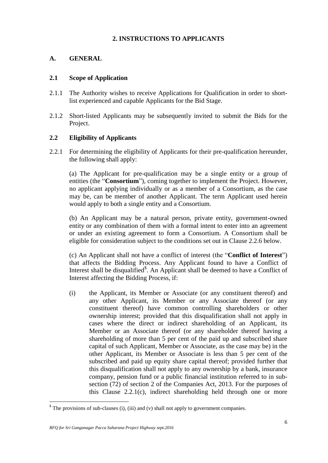# **2. INSTRUCTIONS TO APPLICANTS**

# **A. GENERAL**

#### **2.1 Scope of Application**

- 2.1.1 The Authority wishes to receive Applications for Qualification in order to shortlist experienced and capable Applicants for the Bid Stage.
- 2.1.2 Short-listed Applicants may be subsequently invited to submit the Bids for the Project.

# **2.2 Eligibility of Applicants**

2.2.1 For determining the eligibility of Applicants for their pre-qualification hereunder, the following shall apply:

(a) The Applicant for pre-qualification may be a single entity or a group of entities (the "**Consortium**"), coming together to implement the Project. However, no applicant applying individually or as a member of a Consortium, as the case may be, can be member of another Applicant. The term Applicant used herein would apply to both a single entity and a Consortium.

(b) An Applicant may be a natural person, private entity, government-owned entity or any combination of them with a formal intent to enter into an agreement or under an existing agreement to form a Consortium. A Consortium shall be eligible for consideration subject to the conditions set out in Clause 2.2.6 below.

(c) An Applicant shall not have a conflict of interest (the "**Conflict of Interest**") that affects the Bidding Process. Any Applicant found to have a Conflict of Interest shall be disqualified<sup>\$</sup>. An Applicant shall be deemed to have a Conflict of Interest affecting the Bidding Process, if:

(i) the Applicant, its Member or Associate (or any constituent thereof) and any other Applicant, its Member or any Associate thereof (or any constituent thereof) have common controlling shareholders or other ownership interest; provided that this disqualification shall not apply in cases where the direct or indirect shareholding of an Applicant, its Member or an Associate thereof (or any shareholder thereof having a shareholding of more than 5 per cent of the paid up and subscribed share capital of such Applicant, Member or Associate, as the case may be) in the other Applicant, its Member or Associate is less than 5 per cent of the subscribed and paid up equity share capital thereof; provided further that this disqualification shall not apply to any ownership by a bank, insurance company, pension fund or a public financial institution referred to in subsection (72) of section 2 of the Companies Act, 2013. For the purposes of this Clause 2.2.1(c), indirect shareholding held through one or more

 $\delta$  The provisions of sub-clauses (i), (iii) and (v) shall not apply to government companies.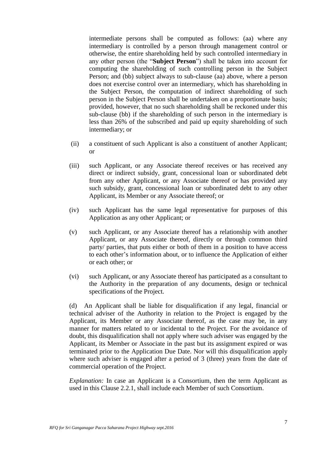intermediate persons shall be computed as follows: (aa) where any intermediary is controlled by a person through management control or otherwise, the entire shareholding held by such controlled intermediary in any other person (the "**Subject Person**") shall be taken into account for computing the shareholding of such controlling person in the Subject Person; and (bb) subject always to sub-clause (aa) above, where a person does not exercise control over an intermediary, which has shareholding in the Subject Person, the computation of indirect shareholding of such person in the Subject Person shall be undertaken on a proportionate basis; provided, however, that no such shareholding shall be reckoned under this sub-clause (bb) if the shareholding of such person in the intermediary is less than 26% of the subscribed and paid up equity shareholding of such intermediary; or

- (ii) a constituent of such Applicant is also a constituent of another Applicant; or
- (iii) such Applicant, or any Associate thereof receives or has received any direct or indirect subsidy, grant, concessional loan or subordinated debt from any other Applicant, or any Associate thereof or has provided any such subsidy, grant, concessional loan or subordinated debt to any other Applicant, its Member or any Associate thereof; or
- (iv) such Applicant has the same legal representative for purposes of this Application as any other Applicant; or
- (v) such Applicant, or any Associate thereof has a relationship with another Applicant, or any Associate thereof, directly or through common third party/ parties, that puts either or both of them in a position to have access to each other"s information about, or to influence the Application of either or each other; or
- (vi) such Applicant, or any Associate thereof has participated as a consultant to the Authority in the preparation of any documents, design or technical specifications of the Project.

(d) An Applicant shall be liable for disqualification if any legal, financial or technical adviser of the Authority in relation to the Project is engaged by the Applicant, its Member or any Associate thereof, as the case may be, in any manner for matters related to or incidental to the Project. For the avoidance of doubt, this disqualification shall not apply where such adviser was engaged by the Applicant, its Member or Associate in the past but its assignment expired or was terminated prior to the Application Due Date. Nor will this disqualification apply where such adviser is engaged after a period of 3 (three) years from the date of commercial operation of the Project.

*Explanation:* In case an Applicant is a Consortium, then the term Applicant as used in this Clause 2.2.1, shall include each Member of such Consortium.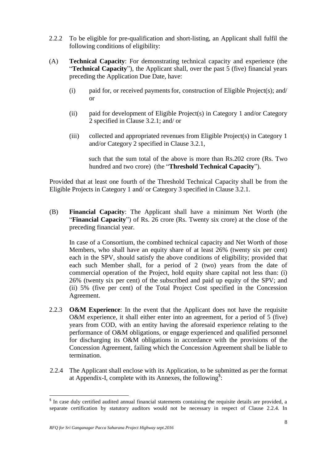- 2.2.2 To be eligible for pre-qualification and short-listing, an Applicant shall fulfil the following conditions of eligibility:
- (A) **Technical Capacity**: For demonstrating technical capacity and experience (the "**Technical Capacity**"), the Applicant shall, over the past 5 (five) financial years preceding the Application Due Date, have:
	- $(i)$  paid for, or received payments for, construction of Eligible Project(s); and/ or
	- (ii) paid for development of Eligible Project(s) in Category 1 and/or Category 2 specified in Clause 3.2.1; and/ or
	- (iii) collected and appropriated revenues from Eligible Project(s) in Category 1 and/or Category 2 specified in Clause 3.2.1,

such that the sum total of the above is more than Rs.202 crore (Rs. Two hundred and two crore) (the "**Threshold Technical Capacity**").

Provided that at least one fourth of the Threshold Technical Capacity shall be from the Eligible Projects in Category 1 and/ or Category 3 specified in Clause 3.2.1.

(B) **Financial Capacity**: The Applicant shall have a minimum Net Worth (the "**Financial Capacity**") of Rs. 26 crore (Rs. Twenty six crore) at the close of the preceding financial year.

In case of a Consortium, the combined technical capacity and Net Worth of those Members, who shall have an equity share of at least 26% (twenty six per cent) each in the SPV, should satisfy the above conditions of eligibility; provided that each such Member shall, for a period of 2 (two) years from the date of commercial operation of the Project, hold equity share capital not less than: (i) 26% (twenty six per cent) of the subscribed and paid up equity of the SPV; and (ii) 5% (five per cent) of the Total Project Cost specified in the Concession Agreement.

- 2.2.3 **O&M Experience**: In the event that the Applicant does not have the requisite O&M experience, it shall either enter into an agreement, for a period of 5 (five) years from COD, with an entity having the aforesaid experience relating to the performance of O&M obligations, or engage experienced and qualified personnel for discharging its O&M obligations in accordance with the provisions of the Concession Agreement, failing which the Concession Agreement shall be liable to termination.
- 2.2.4 The Applicant shall enclose with its Application, to be submitted as per the format at Appendix-I, complete with its Annexes, the following<sup>\$</sup>:

<sup>&</sup>lt;sup>\$</sup> In case duly certified audited annual financial statements containing the requisite details are provided, a separate certification by statutory auditors would not be necessary in respect of Clause 2.2.4. In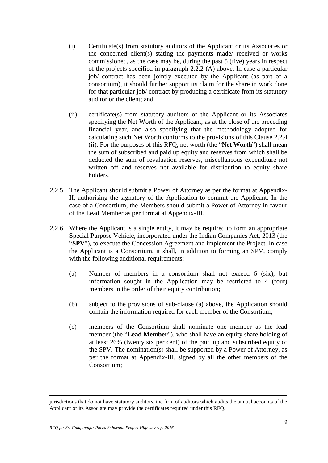- (i) Certificate(s) from statutory auditors of the Applicant or its Associates or the concerned client(s) stating the payments made/ received or works commissioned, as the case may be, during the past 5 (five) years in respect of the projects specified in paragraph 2.2.2 (A) above. In case a particular job/ contract has been jointly executed by the Applicant (as part of a consortium), it should further support its claim for the share in work done for that particular job/ contract by producing a certificate from its statutory auditor or the client; and
- (ii) certificate(s) from statutory auditors of the Applicant or its Associates specifying the Net Worth of the Applicant, as at the close of the preceding financial year, and also specifying that the methodology adopted for calculating such Net Worth conforms to the provisions of this Clause 2.2.4 (ii). For the purposes of this RFQ, net worth (the "**Net Worth**") shall mean the sum of subscribed and paid up equity and reserves from which shall be deducted the sum of revaluation reserves, miscellaneous expenditure not written off and reserves not available for distribution to equity share holders.
- 2.2.5 The Applicant should submit a Power of Attorney as per the format at Appendix-II, authorising the signatory of the Application to commit the Applicant. In the case of a Consortium, the Members should submit a Power of Attorney in favour of the Lead Member as per format at Appendix-III.
- 2.2.6 Where the Applicant is a single entity, it may be required to form an appropriate Special Purpose Vehicle, incorporated under the Indian Companies Act, 2013 (the "**SPV**"), to execute the Concession Agreement and implement the Project. In case the Applicant is a Consortium, it shall, in addition to forming an SPV, comply with the following additional requirements:
	- (a) Number of members in a consortium shall not exceed 6 (six), but information sought in the Application may be restricted to 4 (four) members in the order of their equity contribution;
	- (b) subject to the provisions of sub-clause (a) above, the Application should contain the information required for each member of the Consortium;
	- (c) members of the Consortium shall nominate one member as the lead member (the "**Lead Member**"), who shall have an equity share holding of at least 26% (twenty six per cent) of the paid up and subscribed equity of the SPV. The nomination(s) shall be supported by a Power of Attorney, as per the format at Appendix-III, signed by all the other members of the Consortium;

<u>.</u>

jurisdictions that do not have statutory auditors, the firm of auditors which audits the annual accounts of the Applicant or its Associate may provide the certificates required under this RFQ.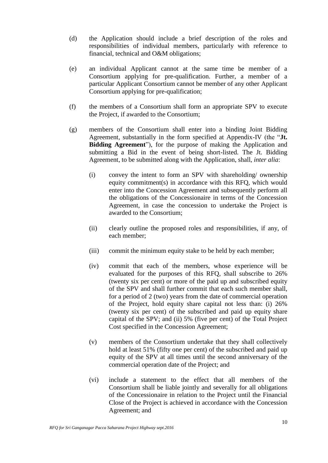- (d) the Application should include a brief description of the roles and responsibilities of individual members, particularly with reference to financial, technical and O&M obligations;
- (e) an individual Applicant cannot at the same time be member of a Consortium applying for pre-qualification. Further, a member of a particular Applicant Consortium cannot be member of any other Applicant Consortium applying for pre-qualification;
- (f) the members of a Consortium shall form an appropriate SPV to execute the Project, if awarded to the Consortium;
- (g) members of the Consortium shall enter into a binding Joint Bidding Agreement, substantially in the form specified at Appendix-IV (the "**Jt. Bidding Agreement**"), for the purpose of making the Application and submitting a Bid in the event of being short-listed. The Jt. Bidding Agreement, to be submitted along with the Application, shall, *inter alia*:
	- (i) convey the intent to form an SPV with shareholding/ ownership equity commitment(s) in accordance with this RFQ, which would enter into the Concession Agreement and subsequently perform all the obligations of the Concessionaire in terms of the Concession Agreement, in case the concession to undertake the Project is awarded to the Consortium;
	- (ii) clearly outline the proposed roles and responsibilities, if any, of each member;
	- (iii) commit the minimum equity stake to be held by each member;
	- (iv) commit that each of the members, whose experience will be evaluated for the purposes of this RFQ, shall subscribe to 26% (twenty six per cent) or more of the paid up and subscribed equity of the SPV and shall further commit that each such member shall, for a period of 2 (two) years from the date of commercial operation of the Project, hold equity share capital not less than: (i) 26% (twenty six per cent) of the subscribed and paid up equity share capital of the SPV; and (ii) 5% (five per cent) of the Total Project Cost specified in the Concession Agreement;
	- (v) members of the Consortium undertake that they shall collectively hold at least 51% (fifty one per cent) of the subscribed and paid up equity of the SPV at all times until the second anniversary of the commercial operation date of the Project; and
	- (vi) include a statement to the effect that all members of the Consortium shall be liable jointly and severally for all obligations of the Concessionaire in relation to the Project until the Financial Close of the Project is achieved in accordance with the Concession Agreement; and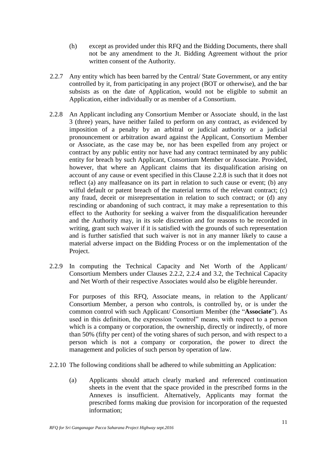- (h) except as provided under this RFQ and the Bidding Documents, there shall not be any amendment to the Jt. Bidding Agreement without the prior written consent of the Authority.
- 2.2.7 Any entity which has been barred by the Central/ State Government, or any entity controlled by it, from participating in any project (BOT or otherwise), and the bar subsists as on the date of Application, would not be eligible to submit an Application, either individually or as member of a Consortium.
- 2.2.8 An Applicant including any Consortium Member or Associate should, in the last 3 (three) years, have neither failed to perform on any contract, as evidenced by imposition of a penalty by an arbitral or judicial authority or a judicial pronouncement or arbitration award against the Applicant, Consortium Member or Associate, as the case may be, nor has been expelled from any project or contract by any public entity nor have had any contract terminated by any public entity for breach by such Applicant, Consortium Member or Associate. Provided, however, that where an Applicant claims that its disqualification arising on account of any cause or event specified in this Clause 2.2.8 is such that it does not reflect (a) any malfeasance on its part in relation to such cause or event; (b) any wilful default or patent breach of the material terms of the relevant contract; (c) any fraud, deceit or misrepresentation in relation to such contract; or (d) any rescinding or abandoning of such contract, it may make a representation to this effect to the Authority for seeking a waiver from the disqualification hereunder and the Authority may, in its sole discretion and for reasons to be recorded in writing, grant such waiver if it is satisfied with the grounds of such representation and is further satisfied that such waiver is not in any manner likely to cause a material adverse impact on the Bidding Process or on the implementation of the Project.
- 2.2.9 In computing the Technical Capacity and Net Worth of the Applicant/ Consortium Members under Clauses 2.2.2, 2.2.4 and 3.2, the Technical Capacity and Net Worth of their respective Associates would also be eligible hereunder.

For purposes of this RFQ, Associate means, in relation to the Applicant/ Consortium Member, a person who controls, is controlled by, or is under the common control with such Applicant/ Consortium Member (the "**Associate**"). As used in this definition, the expression "control" means, with respect to a person which is a company or corporation, the ownership, directly or indirectly, of more than 50% (fifty per cent) of the voting shares of such person, and with respect to a person which is not a company or corporation, the power to direct the management and policies of such person by operation of law.

- 2.2.10 The following conditions shall be adhered to while submitting an Application:
	- (a) Applicants should attach clearly marked and referenced continuation sheets in the event that the space provided in the prescribed forms in the Annexes is insufficient. Alternatively, Applicants may format the prescribed forms making due provision for incorporation of the requested information;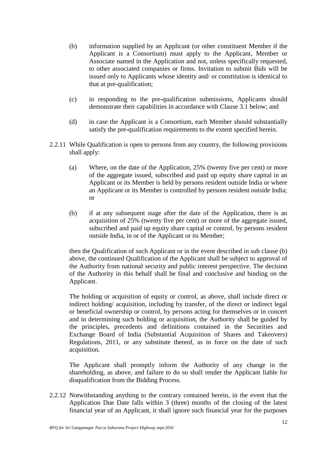- (b) information supplied by an Applicant (or other constituent Member if the Applicant is a Consortium) must apply to the Applicant, Member or Associate named in the Application and not, unless specifically requested, to other associated companies or firms. Invitation to submit Bids will be issued only to Applicants whose identity and/ or constitution is identical to that at pre-qualification;
- (c) in responding to the pre-qualification submissions, Applicants should demonstrate their capabilities in accordance with Clause 3.1 below; and
- (d) in case the Applicant is a Consortium, each Member should substantially satisfy the pre-qualification requirements to the extent specified herein.
- 2.2.11 While Qualification is open to persons from any country, the following provisions shall apply:
	- (a) Where, on the date of the Application, 25% (twenty five per cent) or more of the aggregate issued, subscribed and paid up equity share capital in an Applicant or its Member is held by persons resident outside India or where an Applicant or its Member is controlled by persons resident outside India; or
	- (b) if at any subsequent stage after the date of the Application, there is an acquisition of 25% (twenty five per cent) or more of the aggregate issued, subscribed and paid up equity share capital or control, by persons resident outside India, in or of the Applicant or its Member;

then the Qualification of such Applicant or in the event described in sub clause (b) above, the continued Qualification of the Applicant shall be subject to approval of the Authority from national security and public interest perspective. The decision of the Authority in this behalf shall be final and conclusive and binding on the Applicant.

The holding or acquisition of equity or control, as above, shall include direct or indirect holding/ acquisition, including by transfer, of the direct or indirect legal or beneficial ownership or control, by persons acting for themselves or in concert and in determining such holding or acquisition, the Authority shall be guided by the principles, precedents and definitions contained in the Securities and Exchange Board of India (Substantial Acquisition of Shares and Takeovers) Regulations, 2011, or any substitute thereof, as in force on the date of such acquisition.

The Applicant shall promptly inform the Authority of any change in the shareholding, as above, and failure to do so shall render the Applicant liable for disqualification from the Bidding Process.

2.2.12 Notwithstanding anything to the contrary contained herein, in the event that the Application Due Date falls within 3 (three) months of the closing of the latest financial year of an Applicant, it shall ignore such financial year for the purposes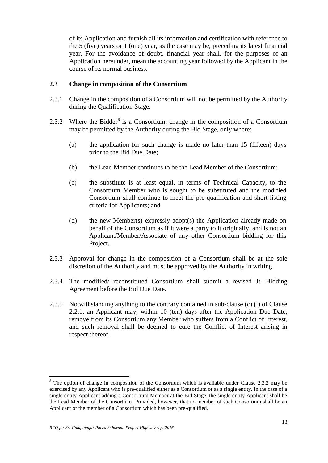of its Application and furnish all its information and certification with reference to the 5 (five) years or 1 (one) year, as the case may be, preceding its latest financial year. For the avoidance of doubt, financial year shall, for the purposes of an Application hereunder, mean the accounting year followed by the Applicant in the course of its normal business.

#### **2.3 Change in composition of the Consortium**

- 2.3.1 Change in the composition of a Consortium will not be permitted by the Authority during the Qualification Stage.
- 2.3.2 Where the Bidder<sup>\$</sup> is a Consortium, change in the composition of a Consortium may be permitted by the Authority during the Bid Stage, only where:
	- (a) the application for such change is made no later than 15 (fifteen) days prior to the Bid Due Date;
	- (b) the Lead Member continues to be the Lead Member of the Consortium;
	- (c) the substitute is at least equal, in terms of Technical Capacity, to the Consortium Member who is sought to be substituted and the modified Consortium shall continue to meet the pre-qualification and short-listing criteria for Applicants; and
	- (d) the new Member(s) expressly adopt(s) the Application already made on behalf of the Consortium as if it were a party to it originally, and is not an Applicant/Member/Associate of any other Consortium bidding for this Project.
- 2.3.3 Approval for change in the composition of a Consortium shall be at the sole discretion of the Authority and must be approved by the Authority in writing.
- 2.3.4 The modified/ reconstituted Consortium shall submit a revised Jt. Bidding Agreement before the Bid Due Date.
- 2.3.5 Notwithstanding anything to the contrary contained in sub-clause (c) (i) of Clause 2.2.1, an Applicant may, within 10 (ten) days after the Application Due Date, remove from its Consortium any Member who suffers from a Conflict of Interest, and such removal shall be deemed to cure the Conflict of Interest arising in respect thereof.

<sup>&</sup>lt;sup>\$</sup> The option of change in composition of the Consortium which is available under Clause 2.3.2 may be exercised by any Applicant who is pre-qualified either as a Consortium or as a single entity. In the case of a single entity Applicant adding a Consortium Member at the Bid Stage, the single entity Applicant shall be the Lead Member of the Consortium. Provided, however, that no member of such Consortium shall be an Applicant or the member of a Consortium which has been pre-qualified.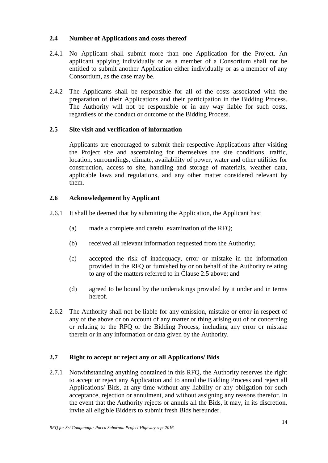# **2.4 Number of Applications and costs thereof**

- 2.4.1 No Applicant shall submit more than one Application for the Project. An applicant applying individually or as a member of a Consortium shall not be entitled to submit another Application either individually or as a member of any Consortium, as the case may be.
- 2.4.2 The Applicants shall be responsible for all of the costs associated with the preparation of their Applications and their participation in the Bidding Process. The Authority will not be responsible or in any way liable for such costs, regardless of the conduct or outcome of the Bidding Process.

# **2.5 Site visit and verification of information**

Applicants are encouraged to submit their respective Applications after visiting the Project site and ascertaining for themselves the site conditions, traffic, location, surroundings, climate, availability of power, water and other utilities for construction, access to site, handling and storage of materials, weather data, applicable laws and regulations, and any other matter considered relevant by them.

# **2.6 Acknowledgement by Applicant**

- 2.6.1 It shall be deemed that by submitting the Application, the Applicant has:
	- (a) made a complete and careful examination of the RFQ;
	- (b) received all relevant information requested from the Authority;
	- (c) accepted the risk of inadequacy, error or mistake in the information provided in the RFQ or furnished by or on behalf of the Authority relating to any of the matters referred to in Clause 2.5 above; and
	- (d) agreed to be bound by the undertakings provided by it under and in terms hereof.
- 2.6.2 The Authority shall not be liable for any omission, mistake or error in respect of any of the above or on account of any matter or thing arising out of or concerning or relating to the RFQ or the Bidding Process, including any error or mistake therein or in any information or data given by the Authority.

# **2.7 Right to accept or reject any or all Applications/ Bids**

2.7.1 Notwithstanding anything contained in this RFQ, the Authority reserves the right to accept or reject any Application and to annul the Bidding Process and reject all Applications/ Bids, at any time without any liability or any obligation for such acceptance, rejection or annulment, and without assigning any reasons therefor. In the event that the Authority rejects or annuls all the Bids, it may, in its discretion, invite all eligible Bidders to submit fresh Bids hereunder.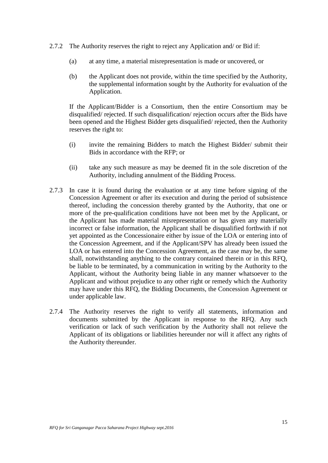- 2.7.2 The Authority reserves the right to reject any Application and/ or Bid if:
	- (a) at any time, a material misrepresentation is made or uncovered, or
	- (b) the Applicant does not provide, within the time specified by the Authority, the supplemental information sought by the Authority for evaluation of the Application.

If the Applicant/Bidder is a Consortium, then the entire Consortium may be disqualified/ rejected. If such disqualification/ rejection occurs after the Bids have been opened and the Highest Bidder gets disqualified/ rejected, then the Authority reserves the right to:

- (i) invite the remaining Bidders to match the Highest Bidder/ submit their Bids in accordance with the RFP; or
- (ii) take any such measure as may be deemed fit in the sole discretion of the Authority, including annulment of the Bidding Process.
- 2.7.3 In case it is found during the evaluation or at any time before signing of the Concession Agreement or after its execution and during the period of subsistence thereof, including the concession thereby granted by the Authority, that one or more of the pre-qualification conditions have not been met by the Applicant, or the Applicant has made material misrepresentation or has given any materially incorrect or false information, the Applicant shall be disqualified forthwith if not yet appointed as the Concessionaire either by issue of the LOA or entering into of the Concession Agreement, and if the Applicant/SPV has already been issued the LOA or has entered into the Concession Agreement, as the case may be, the same shall, notwithstanding anything to the contrary contained therein or in this RFQ, be liable to be terminated, by a communication in writing by the Authority to the Applicant, without the Authority being liable in any manner whatsoever to the Applicant and without prejudice to any other right or remedy which the Authority may have under this RFQ, the Bidding Documents, the Concession Agreement or under applicable law.
- 2.7.4 The Authority reserves the right to verify all statements, information and documents submitted by the Applicant in response to the RFQ. Any such verification or lack of such verification by the Authority shall not relieve the Applicant of its obligations or liabilities hereunder nor will it affect any rights of the Authority thereunder.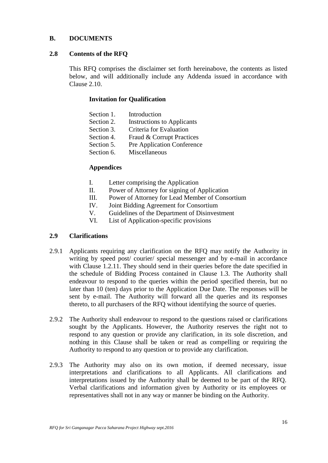# **B. DOCUMENTS**

#### **2.8 Contents of the RFQ**

This RFQ comprises the disclaimer set forth hereinabove, the contents as listed below, and will additionally include any Addenda issued in accordance with Clause 2.10.

#### **Invitation for Qualification**

| Section 1. | Introduction                      |
|------------|-----------------------------------|
| Section 2. | <b>Instructions to Applicants</b> |
| Section 3. | Criteria for Evaluation           |
| Section 4. | Fraud & Corrupt Practices         |
| Section 5. | <b>Pre Application Conference</b> |
| Section 6. | Miscellaneous                     |
|            |                                   |

# **Appendices**

- I. Letter comprising the Application
- II. Power of Attorney for signing of Application
- III. Power of Attorney for Lead Member of Consortium
- IV. Joint Bidding Agreement for Consortium
- V. Guidelines of the Department of Disinvestment
- VI. List of Application-specific provisions

# **2.9 Clarifications**

- 2.9.1 Applicants requiring any clarification on the RFQ may notify the Authority in writing by speed post/ courier/ special messenger and by e-mail in accordance with Clause 1.2.11. They should send in their queries before the date specified in the schedule of Bidding Process contained in Clause 1.3. The Authority shall endeavour to respond to the queries within the period specified therein, but no later than 10 (ten) days prior to the Application Due Date. The responses will be sent by e-mail. The Authority will forward all the queries and its responses thereto, to all purchasers of the RFQ without identifying the source of queries.
- 2.9.2 The Authority shall endeavour to respond to the questions raised or clarifications sought by the Applicants. However, the Authority reserves the right not to respond to any question or provide any clarification, in its sole discretion, and nothing in this Clause shall be taken or read as compelling or requiring the Authority to respond to any question or to provide any clarification.
- 2.9.3 The Authority may also on its own motion, if deemed necessary, issue interpretations and clarifications to all Applicants. All clarifications and interpretations issued by the Authority shall be deemed to be part of the RFQ. Verbal clarifications and information given by Authority or its employees or representatives shall not in any way or manner be binding on the Authority.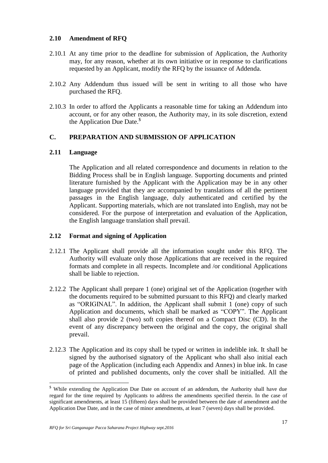# **2.10 Amendment of RFQ**

- 2.10.1 At any time prior to the deadline for submission of Application, the Authority may, for any reason, whether at its own initiative or in response to clarifications requested by an Applicant, modify the RFQ by the issuance of Addenda.
- 2.10.2 Any Addendum thus issued will be sent in writing to all those who have purchased the RFQ.
- 2.10.3 In order to afford the Applicants a reasonable time for taking an Addendum into account, or for any other reason, the Authority may, in its sole discretion, extend the Application Due Date.<sup>\$</sup>

#### **C. PREPARATION AND SUBMISSION OF APPLICATION**

#### **2.11 Language**

 $\overline{a}$ 

The Application and all related correspondence and documents in relation to the Bidding Process shall be in English language. Supporting documents and printed literature furnished by the Applicant with the Application may be in any other language provided that they are accompanied by translations of all the pertinent passages in the English language, duly authenticated and certified by the Applicant. Supporting materials, which are not translated into English, may not be considered. For the purpose of interpretation and evaluation of the Application, the English language translation shall prevail.

#### **2.12 Format and signing of Application**

- 2.12.1 The Applicant shall provide all the information sought under this RFQ. The Authority will evaluate only those Applications that are received in the required formats and complete in all respects. Incomplete and /or conditional Applications shall be liable to rejection.
- 2.12.2 The Applicant shall prepare 1 (one) original set of the Application (together with the documents required to be submitted pursuant to this RFQ) and clearly marked as "ORIGINAL". In addition, the Applicant shall submit 1 (one) copy of such Application and documents, which shall be marked as "COPY". The Applicant shall also provide 2 (two) soft copies thereof on a Compact Disc (CD). In the event of any discrepancy between the original and the copy, the original shall prevail.
- 2.12.3 The Application and its copy shall be typed or written in indelible ink. It shall be signed by the authorised signatory of the Applicant who shall also initial each page of the Application (including each Appendix and Annex) in blue ink. In case of printed and published documents, only the cover shall be initialled. All the

<sup>&</sup>lt;sup>\$</sup> While extending the Application Due Date on account of an addendum, the Authority shall have due regard for the time required by Applicants to address the amendments specified therein. In the case of significant amendments, at least 15 (fifteen) days shall be provided between the date of amendment and the Application Due Date, and in the case of minor amendments, at least 7 (seven) days shall be provided.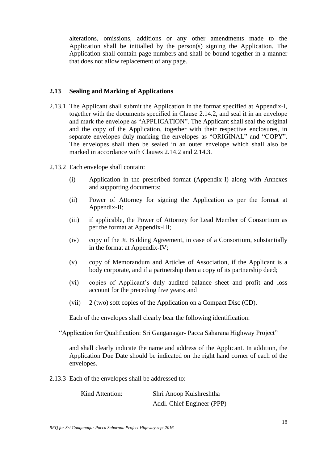alterations, omissions, additions or any other amendments made to the Application shall be initialled by the person(s) signing the Application. The Application shall contain page numbers and shall be bound together in a manner that does not allow replacement of any page.

#### **2.13 Sealing and Marking of Applications**

- 2.13.1 The Applicant shall submit the Application in the format specified at Appendix-I, together with the documents specified in Clause 2.14.2, and seal it in an envelope and mark the envelope as "APPLICATION". The Applicant shall seal the original and the copy of the Application, together with their respective enclosures, in separate envelopes duly marking the envelopes as "ORIGINAL" and "COPY". The envelopes shall then be sealed in an outer envelope which shall also be marked in accordance with Clauses 2.14.2 and 2.14.3.
- 2.13.2 Each envelope shall contain:
	- (i) Application in the prescribed format (Appendix-I) along with Annexes and supporting documents;
	- (ii) Power of Attorney for signing the Application as per the format at Appendix-II;
	- (iii) if applicable, the Power of Attorney for Lead Member of Consortium as per the format at Appendix-III;
	- (iv) copy of the Jt. Bidding Agreement, in case of a Consortium, substantially in the format at Appendix-IV;
	- (v) copy of Memorandum and Articles of Association, if the Applicant is a body corporate, and if a partnership then a copy of its partnership deed;
	- (vi) copies of Applicant"s duly audited balance sheet and profit and loss account for the preceding five years; and
	- (vii) 2 (two) soft copies of the Application on a Compact Disc (CD).

Each of the envelopes shall clearly bear the following identification:

"Application for Qualification: Sri Ganganagar- Pacca Saharana Highway Project"

and shall clearly indicate the name and address of the Applicant. In addition, the Application Due Date should be indicated on the right hand corner of each of the envelopes.

2.13.3 Each of the envelopes shall be addressed to:

| Kind Attention: | Shri Anoop Kulshreshtha    |  |
|-----------------|----------------------------|--|
|                 | Addl. Chief Engineer (PPP) |  |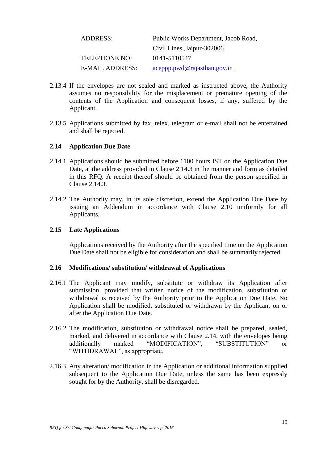| <b>ADDRESS:</b>      | Public Works Department, Jacob Road, |
|----------------------|--------------------------------------|
|                      | Civil Lines , Jaipur-302006          |
| <b>TELEPHONE NO:</b> | 0141-5110547                         |
| E-MAIL ADDRESS:      | aceppp.pwd@rajasthan.gov.in          |

- 2.13.4 If the envelopes are not sealed and marked as instructed above, the Authority assumes no responsibility for the misplacement or premature opening of the contents of the Application and consequent losses, if any, suffered by the Applicant.
- 2.13.5 Applications submitted by fax, telex, telegram or e-mail shall not be entertained and shall be rejected.

#### **2.14 Application Due Date**

- 2.14.1 Applications should be submitted before 1100 hours IST on the Application Due Date, at the address provided in Clause 2.14.3 in the manner and form as detailed in this RFQ. A receipt thereof should be obtained from the person specified in Clause 2.14.3.
- 2.14.2 The Authority may, in its sole discretion, extend the Application Due Date by issuing an Addendum in accordance with Clause 2.10 uniformly for all Applicants.

#### **2.15 Late Applications**

Applications received by the Authority after the specified time on the Application Due Date shall not be eligible for consideration and shall be summarily rejected.

#### **2.16 Modifications/ substitution/ withdrawal of Applications**

- 2.16.1 The Applicant may modify, substitute or withdraw its Application after submission, provided that written notice of the modification, substitution or withdrawal is received by the Authority prior to the Application Due Date. No Application shall be modified, substituted or withdrawn by the Applicant on or after the Application Due Date.
- 2.16.2 The modification, substitution or withdrawal notice shall be prepared, sealed, marked, and delivered in accordance with Clause 2.14, with the envelopes being additionally marked "MODIFICATION", "SUBSTITUTION" or "WITHDRAWAL", as appropriate.
- 2.16.3 Any alteration/ modification in the Application or additional information supplied subsequent to the Application Due Date, unless the same has been expressly sought for by the Authority, shall be disregarded.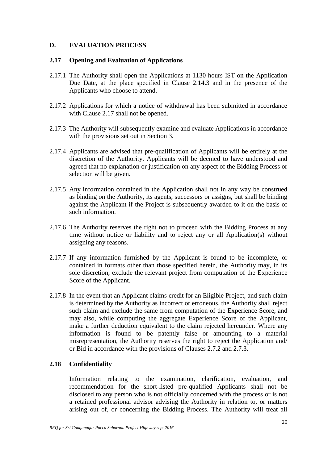# **D. EVALUATION PROCESS**

#### **2.17 Opening and Evaluation of Applications**

- 2.17.1 The Authority shall open the Applications at 1130 hours IST on the Application Due Date, at the place specified in Clause 2.14.3 and in the presence of the Applicants who choose to attend.
- 2.17.2 Applications for which a notice of withdrawal has been submitted in accordance with Clause 2.17 shall not be opened.
- 2.17.3 The Authority will subsequently examine and evaluate Applications in accordance with the provisions set out in Section 3.
- 2.17.4 Applicants are advised that pre-qualification of Applicants will be entirely at the discretion of the Authority. Applicants will be deemed to have understood and agreed that no explanation or justification on any aspect of the Bidding Process or selection will be given.
- 2.17.5 Any information contained in the Application shall not in any way be construed as binding on the Authority, its agents, successors or assigns, but shall be binding against the Applicant if the Project is subsequently awarded to it on the basis of such information.
- 2.17.6 The Authority reserves the right not to proceed with the Bidding Process at any time without notice or liability and to reject any or all Application(s) without assigning any reasons.
- 2.17.7 If any information furnished by the Applicant is found to be incomplete, or contained in formats other than those specified herein, the Authority may, in its sole discretion, exclude the relevant project from computation of the Experience Score of the Applicant.
- 2.17.8 In the event that an Applicant claims credit for an Eligible Project, and such claim is determined by the Authority as incorrect or erroneous, the Authority shall reject such claim and exclude the same from computation of the Experience Score, and may also, while computing the aggregate Experience Score of the Applicant, make a further deduction equivalent to the claim rejected hereunder. Where any information is found to be patently false or amounting to a material misrepresentation, the Authority reserves the right to reject the Application and/ or Bid in accordance with the provisions of Clauses 2.7.2 and 2.7.3.

# **2.18 Confidentiality**

Information relating to the examination, clarification, evaluation, and recommendation for the short-listed pre-qualified Applicants shall not be disclosed to any person who is not officially concerned with the process or is not a retained professional advisor advising the Authority in relation to, or matters arising out of, or concerning the Bidding Process. The Authority will treat all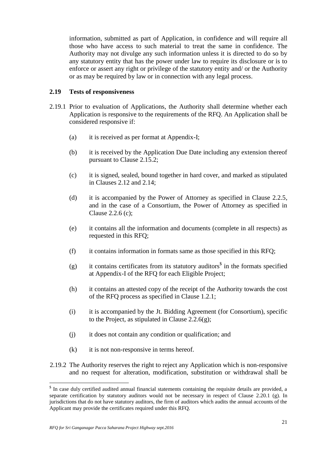information, submitted as part of Application, in confidence and will require all those who have access to such material to treat the same in confidence. The Authority may not divulge any such information unless it is directed to do so by any statutory entity that has the power under law to require its disclosure or is to enforce or assert any right or privilege of the statutory entity and/ or the Authority or as may be required by law or in connection with any legal process.

#### **2.19 Tests of responsiveness**

- 2.19.1 Prior to evaluation of Applications, the Authority shall determine whether each Application is responsive to the requirements of the RFQ. An Application shall be considered responsive if:
	- (a) it is received as per format at Appendix-I;
	- (b) it is received by the Application Due Date including any extension thereof pursuant to Clause 2.15.2;
	- (c) it is signed, sealed, bound together in hard cover, and marked as stipulated in Clauses 2.12 and 2.14;
	- (d) it is accompanied by the Power of Attorney as specified in Clause 2.2.5, and in the case of a Consortium, the Power of Attorney as specified in Clause 2.2.6 (c);
	- (e) it contains all the information and documents (complete in all respects) as requested in this RFQ;
	- (f) it contains information in formats same as those specified in this RFQ;
	- (g) it contains certificates from its statutory auditors<sup>\$</sup> in the formats specified at Appendix-I of the RFQ for each Eligible Project;
	- (h) it contains an attested copy of the receipt of the Authority towards the cost of the RFQ process as specified in Clause 1.2.1;
	- (i) it is accompanied by the Jt. Bidding Agreement (for Consortium), specific to the Project, as stipulated in Clause  $2.2.6(g)$ ;
	- (j) it does not contain any condition or qualification; and
	- (k) it is not non-responsive in terms hereof.
- 2.19.2 The Authority reserves the right to reject any Application which is non-responsive and no request for alteration, modification, substitution or withdrawal shall be

<sup>&</sup>lt;sup>\$</sup> In case duly certified audited annual financial statements containing the requisite details are provided, a separate certification by statutory auditors would not be necessary in respect of Clause 2.20.1 (g). In jurisdictions that do not have statutory auditors, the firm of auditors which audits the annual accounts of the Applicant may provide the certificates required under this RFQ.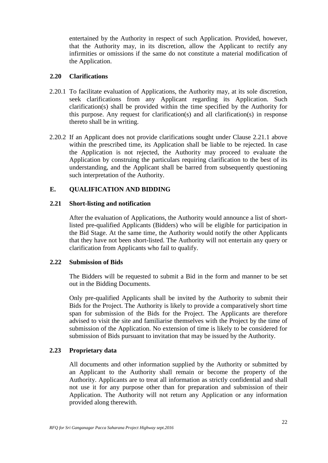entertained by the Authority in respect of such Application. Provided, however, that the Authority may, in its discretion, allow the Applicant to rectify any infirmities or omissions if the same do not constitute a material modification of the Application.

#### **2.20 Clarifications**

- 2.20.1 To facilitate evaluation of Applications, the Authority may, at its sole discretion, seek clarifications from any Applicant regarding its Application. Such clarification(s) shall be provided within the time specified by the Authority for this purpose. Any request for clarification(s) and all clarification(s) in response thereto shall be in writing.
- 2.20.2 If an Applicant does not provide clarifications sought under Clause 2.21.1 above within the prescribed time, its Application shall be liable to be rejected. In case the Application is not rejected, the Authority may proceed to evaluate the Application by construing the particulars requiring clarification to the best of its understanding, and the Applicant shall be barred from subsequently questioning such interpretation of the Authority.

# **E. QUALIFICATION AND BIDDING**

#### **2.21 Short-listing and notification**

After the evaluation of Applications, the Authority would announce a list of shortlisted pre-qualified Applicants (Bidders) who will be eligible for participation in the Bid Stage. At the same time, the Authority would notify the other Applicants that they have not been short-listed. The Authority will not entertain any query or clarification from Applicants who fail to qualify.

#### **2.22 Submission of Bids**

The Bidders will be requested to submit a Bid in the form and manner to be set out in the Bidding Documents.

Only pre-qualified Applicants shall be invited by the Authority to submit their Bids for the Project. The Authority is likely to provide a comparatively short time span for submission of the Bids for the Project. The Applicants are therefore advised to visit the site and familiarise themselves with the Project by the time of submission of the Application. No extension of time is likely to be considered for submission of Bids pursuant to invitation that may be issued by the Authority.

# **2.23 Proprietary data**

All documents and other information supplied by the Authority or submitted by an Applicant to the Authority shall remain or become the property of the Authority. Applicants are to treat all information as strictly confidential and shall not use it for any purpose other than for preparation and submission of their Application. The Authority will not return any Application or any information provided along therewith.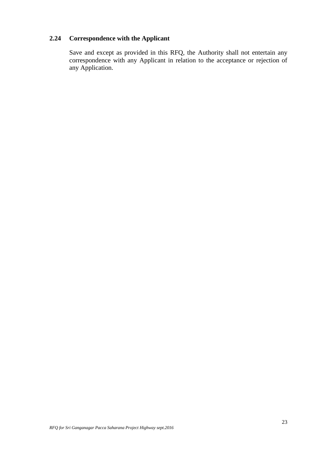# **2.24 Correspondence with the Applicant**

Save and except as provided in this RFQ, the Authority shall not entertain any correspondence with any Applicant in relation to the acceptance or rejection of any Application.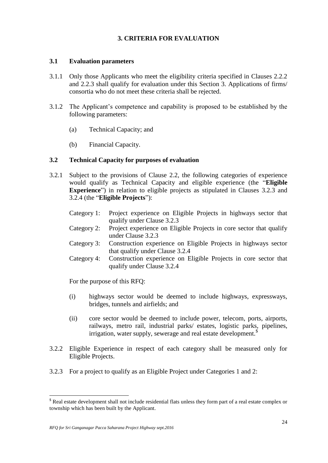# **3. CRITERIA FOR EVALUATION**

#### **3.1 Evaluation parameters**

- 3.1.1 Only those Applicants who meet the eligibility criteria specified in Clauses 2.2.2 and 2.2.3 shall qualify for evaluation under this Section 3. Applications of firms/ consortia who do not meet these criteria shall be rejected.
- 3.1.2 The Applicant"s competence and capability is proposed to be established by the following parameters:
	- (a) Technical Capacity; and
	- (b) Financial Capacity.

#### **3.2 Technical Capacity for purposes of evaluation**

- 3.2.1 Subject to the provisions of Clause 2.2, the following categories of experience would qualify as Technical Capacity and eligible experience (the "**Eligible Experience**") in relation to eligible projects as stipulated in Clauses 3.2.3 and 3.2.4 (the "**Eligible Projects**"):
	- Category 1: Project experience on Eligible Projects in highways sector that qualify under Clause 3.2.3
	- Category 2: Project experience on Eligible Projects in core sector that qualify under Clause 3.2.3
	- Category 3: Construction experience on Eligible Projects in highways sector that qualify under Clause 3.2.4
	- Category 4: Construction experience on Eligible Projects in core sector that qualify under Clause 3.2.4

For the purpose of this RFQ:

- (i) highways sector would be deemed to include highways, expressways, bridges, tunnels and airfields; and
- (ii) core sector would be deemed to include power, telecom, ports, airports, railways, metro rail, industrial parks/ estates, logistic parks, pipelines, irrigation, water supply, sewerage and real estate development.<sup>\$</sup>
- 3.2.2 Eligible Experience in respect of each category shall be measured only for Eligible Projects.
- 3.2.3 For a project to qualify as an Eligible Project under Categories 1 and 2:

<sup>\$</sup> Real estate development shall not include residential flats unless they form part of a real estate complex or township which has been built by the Applicant.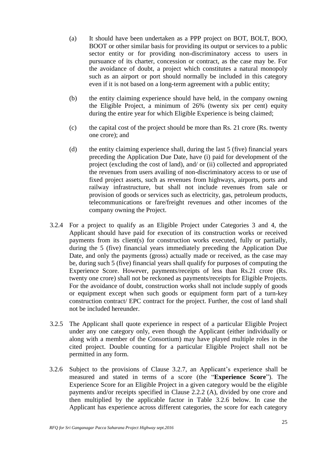- (a) It should have been undertaken as a PPP project on BOT, BOLT, BOO, BOOT or other similar basis for providing its output or services to a public sector entity or for providing non-discriminatory access to users in pursuance of its charter, concession or contract, as the case may be. For the avoidance of doubt, a project which constitutes a natural monopoly such as an airport or port should normally be included in this category even if it is not based on a long-term agreement with a public entity;
- (b) the entity claiming experience should have held, in the company owning the Eligible Project, a minimum of 26% (twenty six per cent) equity during the entire year for which Eligible Experience is being claimed;
- (c) the capital cost of the project should be more than Rs. 21 crore (Rs. twenty one crore); and
- (d) the entity claiming experience shall, during the last 5 (five) financial years preceding the Application Due Date, have (i) paid for development of the project (excluding the cost of land), and/ or (ii) collected and appropriated the revenues from users availing of non-discriminatory access to or use of fixed project assets, such as revenues from highways, airports, ports and railway infrastructure, but shall not include revenues from sale or provision of goods or services such as electricity, gas, petroleum products, telecommunications or fare/freight revenues and other incomes of the company owning the Project.
- 3.2.4 For a project to qualify as an Eligible Project under Categories 3 and 4, the Applicant should have paid for execution of its construction works or received payments from its client(s) for construction works executed, fully or partially, during the 5 (five) financial years immediately preceding the Application Due Date, and only the payments (gross) actually made or received, as the case may be, during such 5 (five) financial years shall qualify for purposes of computing the Experience Score. However, payments/receipts of less than Rs.21 crore (Rs. twenty one crore) shall not be reckoned as payments/receipts for Eligible Projects. For the avoidance of doubt, construction works shall not include supply of goods or equipment except when such goods or equipment form part of a turn-key construction contract/ EPC contract for the project. Further, the cost of land shall not be included hereunder.
- 3.2.5 The Applicant shall quote experience in respect of a particular Eligible Project under any one category only, even though the Applicant (either individually or along with a member of the Consortium) may have played multiple roles in the cited project. Double counting for a particular Eligible Project shall not be permitted in any form.
- 3.2.6 Subject to the provisions of Clause 3.2.7, an Applicant"s experience shall be measured and stated in terms of a score (the "**Experience Score**"). The Experience Score for an Eligible Project in a given category would be the eligible payments and/or receipts specified in Clause 2.2.2 (A), divided by one crore and then multiplied by the applicable factor in Table 3.2.6 below. In case the Applicant has experience across different categories, the score for each category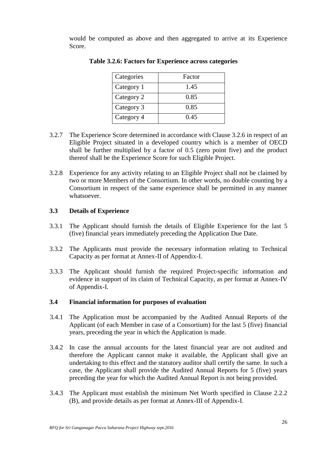would be computed as above and then aggregated to arrive at its Experience Score.

| Categories | Factor |
|------------|--------|
| Category 1 | 1.45   |
| Category 2 | 0.85   |
| Category 3 | 0.85   |
| Category 4 | 0.45   |

**Table 3.2.6: Factors for Experience across categories**

- 3.2.7 The Experience Score determined in accordance with Clause 3.2.6 in respect of an Eligible Project situated in a developed country which is a member of OECD shall be further multiplied by a factor of 0.5 (zero point five) and the product thereof shall be the Experience Score for such Eligible Project.
- 3.2.8 Experience for any activity relating to an Eligible Project shall not be claimed by two or more Members of the Consortium. In other words, no double counting by a Consortium in respect of the same experience shall be permitted in any manner whatsoever.

## **3.3 Details of Experience**

- 3.3.1 The Applicant should furnish the details of Eligible Experience for the last 5 (five) financial years immediately preceding the Application Due Date.
- 3.3.2 The Applicants must provide the necessary information relating to Technical Capacity as per format at Annex-II of Appendix-I.
- 3.3.3 The Applicant should furnish the required Project-specific information and evidence in support of its claim of Technical Capacity, as per format at Annex-IV of Appendix-I.

#### **3.4 Financial information for purposes of evaluation**

- 3.4.1 The Application must be accompanied by the Audited Annual Reports of the Applicant (of each Member in case of a Consortium) for the last 5 (five) financial years, preceding the year in which the Application is made.
- 3.4.2 In case the annual accounts for the latest financial year are not audited and therefore the Applicant cannot make it available, the Applicant shall give an undertaking to this effect and the statutory auditor shall certify the same. In such a case, the Applicant shall provide the Audited Annual Reports for 5 (five) years preceding the year for which the Audited Annual Report is not being provided.
- 3.4.3 The Applicant must establish the minimum Net Worth specified in Clause 2.2.2 (B), and provide details as per format at Annex-III of Appendix-I.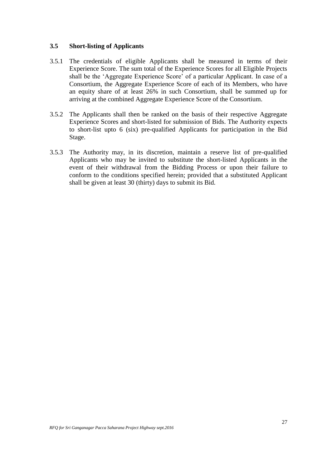### **3.5 Short-listing of Applicants**

- 3.5.1 The credentials of eligible Applicants shall be measured in terms of their Experience Score. The sum total of the Experience Scores for all Eligible Projects shall be the "Aggregate Experience Score" of a particular Applicant. In case of a Consortium, the Aggregate Experience Score of each of its Members, who have an equity share of at least 26% in such Consortium, shall be summed up for arriving at the combined Aggregate Experience Score of the Consortium.
- 3.5.2 The Applicants shall then be ranked on the basis of their respective Aggregate Experience Scores and short-listed for submission of Bids. The Authority expects to short-list upto 6 (six) pre-qualified Applicants for participation in the Bid Stage.
- 3.5.3 The Authority may, in its discretion, maintain a reserve list of pre-qualified Applicants who may be invited to substitute the short-listed Applicants in the event of their withdrawal from the Bidding Process or upon their failure to conform to the conditions specified herein; provided that a substituted Applicant shall be given at least 30 (thirty) days to submit its Bid.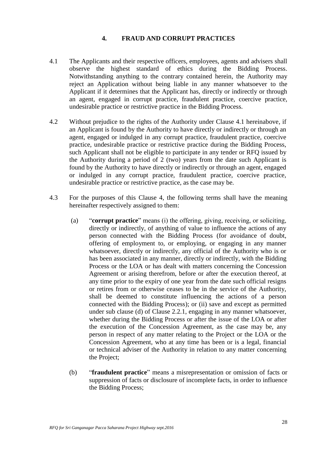# **4. FRAUD AND CORRUPT PRACTICES**

- 4.1 The Applicants and their respective officers, employees, agents and advisers shall observe the highest standard of ethics during the Bidding Process. Notwithstanding anything to the contrary contained herein, the Authority may reject an Application without being liable in any manner whatsoever to the Applicant if it determines that the Applicant has, directly or indirectly or through an agent, engaged in corrupt practice, fraudulent practice, coercive practice, undesirable practice or restrictive practice in the Bidding Process.
- 4.2 Without prejudice to the rights of the Authority under Clause 4.1 hereinabove, if an Applicant is found by the Authority to have directly or indirectly or through an agent, engaged or indulged in any corrupt practice, fraudulent practice, coercive practice, undesirable practice or restrictive practice during the Bidding Process, such Applicant shall not be eligible to participate in any tender or RFQ issued by the Authority during a period of 2 (two) years from the date such Applicant is found by the Authority to have directly or indirectly or through an agent, engaged or indulged in any corrupt practice, fraudulent practice, coercive practice, undesirable practice or restrictive practice, as the case may be.
- 4.3 For the purposes of this Clause 4, the following terms shall have the meaning hereinafter respectively assigned to them:
	- (a) "**corrupt practice**" means (i) the offering, giving, receiving, or soliciting, directly or indirectly, of anything of value to influence the actions of any person connected with the Bidding Process (for avoidance of doubt, offering of employment to, or employing, or engaging in any manner whatsoever, directly or indirectly, any official of the Authority who is or has been associated in any manner, directly or indirectly, with the Bidding Process or the LOA or has dealt with matters concerning the Concession Agreement or arising therefrom, before or after the execution thereof, at any time prior to the expiry of one year from the date such official resigns or retires from or otherwise ceases to be in the service of the Authority, shall be deemed to constitute influencing the actions of a person connected with the Bidding Process); or (ii) save and except as permitted under sub clause (d) of Clause 2.2.1, engaging in any manner whatsoever, whether during the Bidding Process or after the issue of the LOA or after the execution of the Concession Agreement, as the case may be, any person in respect of any matter relating to the Project or the LOA or the Concession Agreement, who at any time has been or is a legal, financial or technical adviser of the Authority in relation to any matter concerning the Project;
	- (b) "**fraudulent practice**" means a misrepresentation or omission of facts or suppression of facts or disclosure of incomplete facts, in order to influence the Bidding Process;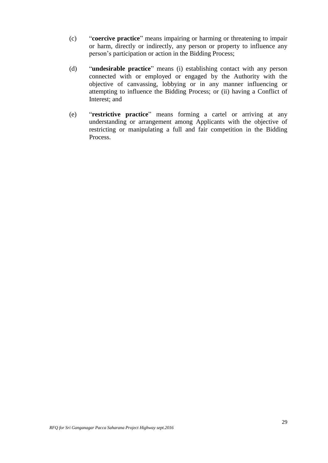- (c) "**coercive practice**" means impairing or harming or threatening to impair or harm, directly or indirectly, any person or property to influence any person"s participation or action in the Bidding Process;
- (d) "**undesirable practice**" means (i) establishing contact with any person connected with or employed or engaged by the Authority with the objective of canvassing, lobbying or in any manner influencing or attempting to influence the Bidding Process; or (ii) having a Conflict of Interest; and
- (e) "**restrictive practice**" means forming a cartel or arriving at any understanding or arrangement among Applicants with the objective of restricting or manipulating a full and fair competition in the Bidding Process.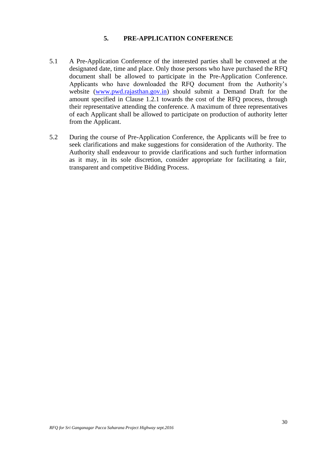# **5. PRE-APPLICATION CONFERENCE**

- 5.1 A Pre-Application Conference of the interested parties shall be convened at the designated date, time and place. Only those persons who have purchased the RFQ document shall be allowed to participate in the Pre-Application Conference. Applicants who have downloaded the RFQ document from the Authority"s website [\(www.pwd.rajasthan.gov.in\)](http://www.pwd.rajasthan.gov.in/) should submit a Demand Draft for the amount specified in Clause 1.2.1 towards the cost of the RFQ process, through their representative attending the conference. A maximum of three representatives of each Applicant shall be allowed to participate on production of authority letter from the Applicant.
- 5.2 During the course of Pre-Application Conference, the Applicants will be free to seek clarifications and make suggestions for consideration of the Authority. The Authority shall endeavour to provide clarifications and such further information as it may, in its sole discretion, consider appropriate for facilitating a fair, transparent and competitive Bidding Process.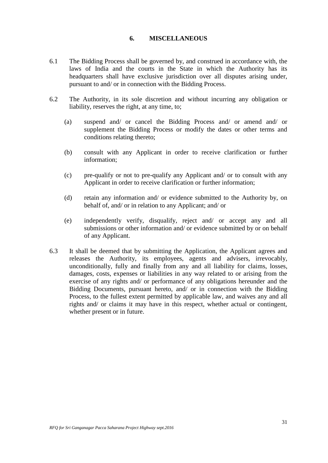#### **6. MISCELLANEOUS**

- 6.1 The Bidding Process shall be governed by, and construed in accordance with, the laws of India and the courts in the State in which the Authority has its headquarters shall have exclusive jurisdiction over all disputes arising under, pursuant to and/ or in connection with the Bidding Process.
- 6.2 The Authority, in its sole discretion and without incurring any obligation or liability, reserves the right, at any time, to;
	- (a) suspend and/ or cancel the Bidding Process and/ or amend and/ or supplement the Bidding Process or modify the dates or other terms and conditions relating thereto;
	- (b) consult with any Applicant in order to receive clarification or further information;
	- (c) pre-qualify or not to pre-qualify any Applicant and/ or to consult with any Applicant in order to receive clarification or further information;
	- (d) retain any information and/ or evidence submitted to the Authority by, on behalf of, and/ or in relation to any Applicant; and/ or
	- (e) independently verify, disqualify, reject and/ or accept any and all submissions or other information and/ or evidence submitted by or on behalf of any Applicant.
- 6.3 It shall be deemed that by submitting the Application, the Applicant agrees and releases the Authority, its employees, agents and advisers, irrevocably, unconditionally, fully and finally from any and all liability for claims, losses, damages, costs, expenses or liabilities in any way related to or arising from the exercise of any rights and/ or performance of any obligations hereunder and the Bidding Documents, pursuant hereto, and/ or in connection with the Bidding Process, to the fullest extent permitted by applicable law, and waives any and all rights and/ or claims it may have in this respect, whether actual or contingent, whether present or in future.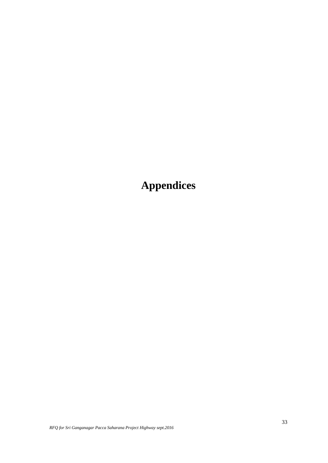**Appendices**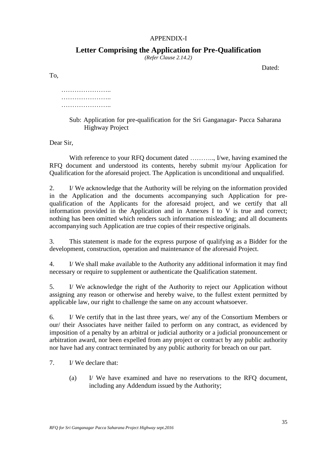### APPENDIX-I

# **Letter Comprising the Application for Pre-Qualification**

*(Refer Clause 2.14.2)*

Dated:

To,

# ……………………… ……………………… …………………..

Sub: Application for pre-qualification for the Sri Ganganagar- Pacca Saharana Highway Project

Dear Sir,

With reference to your RFQ document dated ..........., I/we, having examined the RFQ document and understood its contents, hereby submit my/our Application for Qualification for the aforesaid project. The Application is unconditional and unqualified.

2. I/ We acknowledge that the Authority will be relying on the information provided in the Application and the documents accompanying such Application for prequalification of the Applicants for the aforesaid project, and we certify that all information provided in the Application and in Annexes I to V is true and correct; nothing has been omitted which renders such information misleading; and all documents accompanying such Application are true copies of their respective originals.

3. This statement is made for the express purpose of qualifying as a Bidder for the development, construction, operation and maintenance of the aforesaid Project.

4. I/ We shall make available to the Authority any additional information it may find necessary or require to supplement or authenticate the Qualification statement.

5. I/ We acknowledge the right of the Authority to reject our Application without assigning any reason or otherwise and hereby waive, to the fullest extent permitted by applicable law, our right to challenge the same on any account whatsoever.

6. I/ We certify that in the last three years, we/ any of the Consortium Members or our/ their Associates have neither failed to perform on any contract, as evidenced by imposition of a penalty by an arbitral or judicial authority or a judicial pronouncement or arbitration award, nor been expelled from any project or contract by any public authority nor have had any contract terminated by any public authority for breach on our part.

7. I/ We declare that:

(a) I/ We have examined and have no reservations to the RFQ document, including any Addendum issued by the Authority;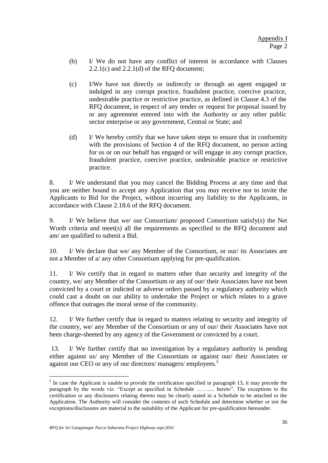- (b) I/ We do not have any conflict of interest in accordance with Clauses 2.2.1(c) and 2.2.1(d) of the RFQ document;
- (c) I/We have not directly or indirectly or through an agent engaged or indulged in any corrupt practice, fraudulent practice, coercive practice, undesirable practice or restrictive practice, as defined in Clause 4.3 of the RFQ document, in respect of any tender or request for proposal issued by or any agreement entered into with the Authority or any other public sector enterprise or any government, Central or State; and
- (d) I/ We hereby certify that we have taken steps to ensure that in conformity with the provisions of Section 4 of the RFQ document, no person acting for us or on our behalf has engaged or will engage in any corrupt practice, fraudulent practice, coercive practice, undesirable practice or restrictive practice.

8. I/ We understand that you may cancel the Bidding Process at any time and that you are neither bound to accept any Application that you may receive nor to invite the Applicants to Bid for the Project, without incurring any liability to the Applicants, in accordance with Clause 2.18.6 of the RFQ document.

9. I/ We believe that we/ our Consortium/ proposed Consortium satisfy(s) the Net Worth criteria and meet(s) all the requirements as specified in the RFQ document and am/ are qualified to submit a Bid.

10. I/ We declare that we/ any Member of the Consortium, or our/ its Associates are not a Member of a/ any other Consortium applying for pre-qualification.

11. I/ We certify that in regard to matters other than security and integrity of the country, we/ any Member of the Consortium or any of our/ their Associates have not been convicted by a court or indicted or adverse orders passed by a regulatory authority which could cast a doubt on our ability to undertake the Project or which relates to a grave offence that outrages the moral sense of the community.

12. I/ We further certify that in regard to matters relating to security and integrity of the country, we/ any Member of the Consortium or any of our/ their Associates have not been charge-sheeted by any agency of the Government or convicted by a court.

13. I/ We further certify that no investigation by a regulatory authority is pending either against us/ any Member of the Consortium or against our/ their Associates or against our CEO or any of our directors/ managers/ employees. $E$ 

 $\overline{a}$ 

 $\epsilon$  In case the Applicant is unable to provide the certification specified in paragraph 13, it may precede the paragraph by the words viz. "Except as specified in Schedule ……..... hereto". The exceptions to the certification or any disclosures relating thereto may be clearly stated in a Schedule to be attached to the Application. The Authority will consider the contents of such Schedule and determine whether or not the exceptions/disclosures are material to the suitability of the Applicant for pre-qualification hereunder.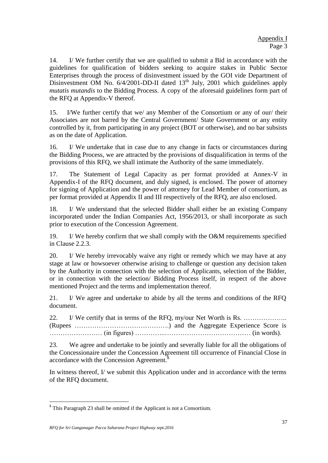14. I/ We further certify that we are qualified to submit a Bid in accordance with the guidelines for qualification of bidders seeking to acquire stakes in Public Sector Enterprises through the process of disinvestment issued by the GOI vide Department of Disinvestment OM No.  $6/4/2001$ -DD-II dated 13<sup>th</sup> July, 2001 which guidelines apply *mutatis mutandis* to the Bidding Process. A copy of the aforesaid guidelines form part of the RFQ at Appendix-V thereof.

15. I/We further certify that we/ any Member of the Consortium or any of our/ their Associates are not barred by the Central Government/ State Government or any entity controlled by it, from participating in any project (BOT or otherwise), and no bar subsists as on the date of Application.

16. I/ We undertake that in case due to any change in facts or circumstances during the Bidding Process, we are attracted by the provisions of disqualification in terms of the provisions of this RFQ, we shall intimate the Authority of the same immediately.

17. The Statement of Legal Capacity as per format provided at Annex-V in Appendix-I of the RFQ document, and duly signed, is enclosed. The power of attorney for signing of Application and the power of attorney for Lead Member of consortium, as per format provided at Appendix II and III respectively of the RFQ, are also enclosed.

18. I/ We understand that the selected Bidder shall either be an existing Company incorporated under the Indian Companies Act, 1956/2013, or shall incorporate as such prior to execution of the Concession Agreement.

19. I/ We hereby confirm that we shall comply with the O&M requirements specified in Clause 2.2.3.

20. I/ We hereby irrevocably waive any right or remedy which we may have at any stage at law or howsoever otherwise arising to challenge or question any decision taken by the Authority in connection with the selection of Applicants, selection of the Bidder, or in connection with the selection/ Bidding Process itself, in respect of the above mentioned Project and the terms and implementation thereof.

21. I/ We agree and undertake to abide by all the terms and conditions of the RFQ document.

22. I/ We certify that in terms of the RFQ, my/our Net Worth is Rs. ……………….. (Rupees …………………………………….) and the Aggregate Experience Score is …………………… (in figures) …………..………………………………… (in words).

23. We agree and undertake to be jointly and severally liable for all the obligations of the Concessionaire under the Concession Agreement till occurrence of Financial Close in accordance with the Concession Agreement.<sup>\$</sup>

In witness thereof, I/ we submit this Application under and in accordance with the terms of the RFQ document.

 $\overline{a}$ 

<sup>\$</sup> This Paragraph 23 shall be omitted if the Applicant is not a Consortium.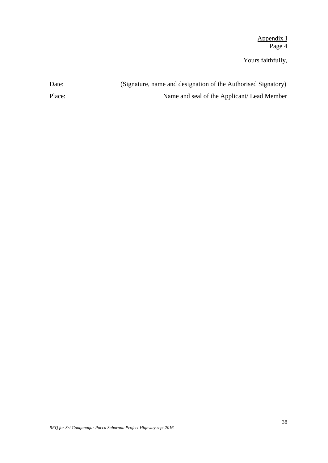Appendix I Page 4

Yours faithfully,

| Date:  | (Signature, name and designation of the Authorised Signatory) |
|--------|---------------------------------------------------------------|
| Place: | Name and seal of the Applicant/Lead Member                    |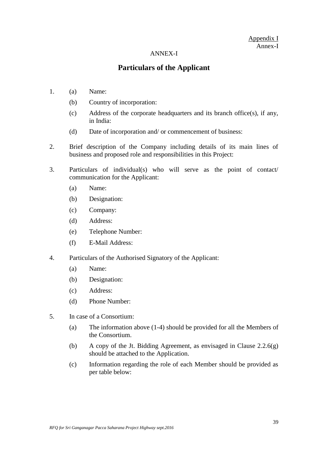### Appendix I Annex-I

#### ANNEX-I

# **Particulars of the Applicant**

- 1. (a) Name:
	- (b) Country of incorporation:
	- (c) Address of the corporate headquarters and its branch office(s), if any, in India:
	- (d) Date of incorporation and/ or commencement of business:
- 2. Brief description of the Company including details of its main lines of business and proposed role and responsibilities in this Project:
- 3. Particulars of individual(s) who will serve as the point of contact/ communication for the Applicant:
	- (a) Name:
	- (b) Designation:
	- (c) Company:
	- (d) Address:
	- (e) Telephone Number:
	- (f) E-Mail Address:
- 4. Particulars of the Authorised Signatory of the Applicant:
	- (a) Name:
	- (b) Designation:
	- (c) Address:
	- (d) Phone Number:
- 5. In case of a Consortium:
	- (a) The information above (1-4) should be provided for all the Members of the Consortium.
	- (b) A copy of the Jt. Bidding Agreement, as envisaged in Clause  $2.2.6(g)$ should be attached to the Application.
	- (c) Information regarding the role of each Member should be provided as per table below: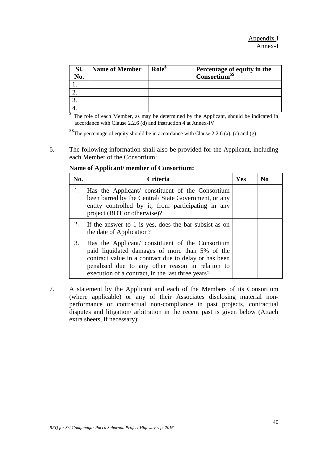| Sl.<br>No. | <b>Name of Member</b> | Role <sup>\$</sup> | Percentage of equity in the<br>Consortium <sup>\$\$</sup> |
|------------|-----------------------|--------------------|-----------------------------------------------------------|
|            |                       |                    |                                                           |
|            |                       |                    |                                                           |
|            |                       |                    |                                                           |
|            |                       |                    |                                                           |

<sup>§</sup> The role of each Member, as may be determined by the Applicant, should be indicated in accordance with Clause 2.2.6 (d) and instruction 4 at Annex-IV.

\$\$The percentage of equity should be in accordance with Clause 2.2.6 (a), (c) and (g).

6. The following information shall also be provided for the Applicant, including each Member of the Consortium:

| No. | <b>Criteria</b>                                                                                                                                                                                                                                                      | Yes | $\bf No$ |
|-----|----------------------------------------------------------------------------------------------------------------------------------------------------------------------------------------------------------------------------------------------------------------------|-----|----------|
| 1.  | Has the Applicant/constituent of the Consortium<br>been barred by the Central/ State Government, or any<br>entity controlled by it, from participating in any<br>project (BOT or otherwise)?                                                                         |     |          |
| 2.  | If the answer to 1 is yes, does the bar subsist as on<br>the date of Application?                                                                                                                                                                                    |     |          |
| 3.  | Has the Applicant/ constituent of the Consortium<br>paid liquidated damages of more than 5% of the<br>contract value in a contract due to delay or has been<br>penalised due to any other reason in relation to<br>execution of a contract, in the last three years? |     |          |

**Name of Applicant/ member of Consortium:**

7. A statement by the Applicant and each of the Members of its Consortium (where applicable) or any of their Associates disclosing material nonperformance or contractual non-compliance in past projects, contractual disputes and litigation/ arbitration in the recent past is given below (Attach extra sheets, if necessary):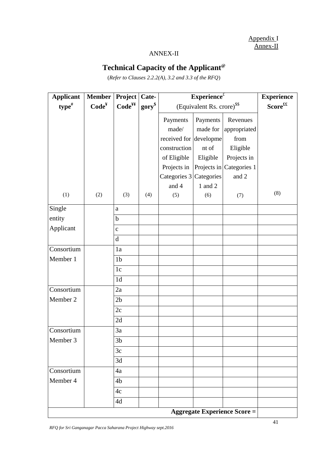Appendix I Annex-II

# ANNEX-II

# **Technical Capacity of the Applicant@**

(*Refer to Clauses 2.2.2(A), 3.2 and 3.3 of the RFQ*)

| <b>Applicant</b> | <b>Member</b>     | Project            | Cate-       | Experience $t$                         | <b>Experience</b>   |                                     |     |
|------------------|-------------------|--------------------|-------------|----------------------------------------|---------------------|-------------------------------------|-----|
| $type$ #         | Code <sup>Y</sup> | Code <sup>yy</sup> | $gory^{\$}$ | (Equivalent Rs. crore) <sup>\$\$</sup> | $Score^{\text{ff}}$ |                                     |     |
|                  |                   |                    |             | Payments                               | Payments            | Revenues                            |     |
|                  |                   |                    |             | made/                                  | made for            | appropriated                        |     |
|                  |                   |                    |             | received for developme                 |                     | from                                |     |
|                  |                   |                    |             | construction                           | nt of               | Eligible                            |     |
|                  |                   |                    |             | of Eligible                            | Eligible            | Projects in                         |     |
|                  |                   |                    |             | Projects in                            |                     | Projects in Categories 1            |     |
|                  |                   |                    |             | Categories 3                           | Categories          | and 2                               |     |
|                  |                   |                    |             | and 4                                  | 1 and 2             |                                     |     |
| (1)              | (2)               | (3)                | (4)         | (5)                                    | (6)                 | (7)                                 | (8) |
| Single           |                   | $\mathbf{a}$       |             |                                        |                     |                                     |     |
| entity           |                   | $\mathbf b$        |             |                                        |                     |                                     |     |
| Applicant        |                   | $\mathbf{C}$       |             |                                        |                     |                                     |     |
|                  |                   | $\mathbf d$        |             |                                        |                     |                                     |     |
| Consortium       |                   | 1a                 |             |                                        |                     |                                     |     |
| Member 1         |                   | 1 <sub>b</sub>     |             |                                        |                     |                                     |     |
|                  |                   | 1c                 |             |                                        |                     |                                     |     |
|                  |                   | 1 <sub>d</sub>     |             |                                        |                     |                                     |     |
| Consortium       |                   | 2a                 |             |                                        |                     |                                     |     |
| Member 2         |                   | 2 <sub>b</sub>     |             |                                        |                     |                                     |     |
|                  |                   | 2c                 |             |                                        |                     |                                     |     |
|                  |                   | 2d                 |             |                                        |                     |                                     |     |
| Consortium       |                   | 3a                 |             |                                        |                     |                                     |     |
| Member 3         |                   | 3 <sub>b</sub>     |             |                                        |                     |                                     |     |
|                  |                   | 3c                 |             |                                        |                     |                                     |     |
|                  |                   | 3d                 |             |                                        |                     |                                     |     |
| Consortium       |                   | 4a                 |             |                                        |                     |                                     |     |
| Member 4         |                   | 4 <sub>b</sub>     |             |                                        |                     |                                     |     |
|                  |                   | 4c                 |             |                                        |                     |                                     |     |
|                  |                   | 4d                 |             |                                        |                     |                                     |     |
|                  |                   |                    |             |                                        |                     | <b>Aggregate Experience Score =</b> |     |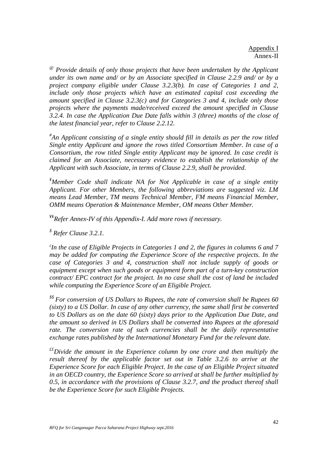*@ Provide details of only those projects that have been undertaken by the Applicant under its own name and/ or by an Associate specified in Clause 2.2.9 and/ or by a project company eligible under Clause 3.2.3(b). In case of Categories 1 and 2, include only those projects which have an estimated capital cost exceeding the amount specified in Clause 3.2.3(c) and for Categories 3 and 4, include only those projects where the payments made/received exceed the amount specified in Clause 3.2.4. In case the Application Due Date falls within 3 (three) months of the close of the latest financial year, refer to Clause 2.2.12.*

*# An Applicant consisting of a single entity should fill in details as per the row titled Single entity Applicant and ignore the rows titled Consortium Member. In case of a Consortium, the row titled Single entity Applicant may be ignored. In case credit is claimed for an Associate, necessary evidence to establish the relationship of the Applicant with such Associate, in terms of Clause 2.2.9, shall be provided.*

*¥Member Code shall indicate NA for Not Applicable in case of a single entity Applicant. For other Members, the following abbreviations are suggested viz. LM means Lead Member, TM means Technical Member, FM means Financial Member, OMM means Operation & Maintenance Member, OM means Other Member.* 

¥¥*Refer Annex-IV of this Appendix-I. Add more rows if necessary.* 

*\$ Refer Clause 3.2.1.*

*£ In the case of Eligible Projects in Categories 1 and 2, the figures in columns 6 and 7 may be added for computing the Experience Score of the respective projects. In the case of Categories 3 and 4, construction shall not include supply of goods or equipment except when such goods or equipment form part of a turn-key construction contract/ EPC contract for the project. In no case shall the cost of land be included while computing the Experience Score of an Eligible Project.*

*\$\$ For conversion of US Dollars to Rupees, the rate of conversion shall be Rupees 60 (sixty) to a US Dollar. In case of any other currency, the same shall first be converted to US Dollars as on the date 60 (sixty) days prior to the Application Due Date, and the amount so derived in US Dollars shall be converted into Rupees at the aforesaid rate. The conversion rate of such currencies shall be the daily representative exchange rates published by the International Monetary Fund for the relevant date.*

*££Divide the amount in the Experience column by one crore and then multiply the result thereof by the applicable factor set out in Table 3.2.6 to arrive at the Experience Score for each Eligible Project. In the case of an Eligible Project situated in an OECD country, the Experience Score so arrived at shall be further multiplied by 0.5, in accordance with the provisions of Clause 3.2.7, and the product thereof shall be the Experience Score for such Eligible Projects.*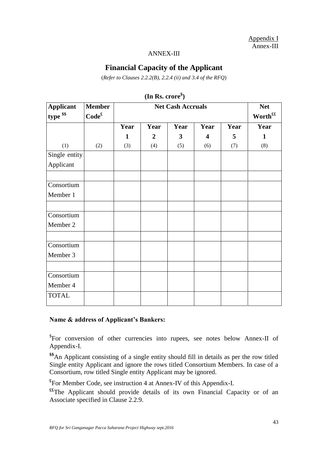Appendix I Annex-III

#### ANNEX-III

# **Financial Capacity of the Applicant**

(*Refer to Clauses 2.2.2(B), 2.2.4 (ii) and 3.4 of the RFQ*)

| <b>Applicant</b>                       | <b>Member</b>     |      | <b>Net</b>          |              |                         |      |      |
|----------------------------------------|-------------------|------|---------------------|--------------|-------------------------|------|------|
| type \$\$                              | Code <sup>£</sup> |      | Worth <sup>ff</sup> |              |                         |      |      |
|                                        |                   | Year | Year                | Year         | Year                    | Year | Year |
|                                        |                   | 1    | $\boldsymbol{2}$    | $\mathbf{3}$ | $\overline{\mathbf{4}}$ | 5    | 1    |
| (1)                                    | (2)               | (3)  | (4)                 | (5)          | (6)                     | (7)  | (8)  |
| Single entity                          |                   |      |                     |              |                         |      |      |
| Applicant                              |                   |      |                     |              |                         |      |      |
| Consortium<br>Member 1                 |                   |      |                     |              |                         |      |      |
| Consortium<br>Member 2                 |                   |      |                     |              |                         |      |      |
| Consortium<br>Member 3                 |                   |      |                     |              |                         |      |      |
| Consortium<br>Member 4<br><b>TOTAL</b> |                   |      |                     |              |                         |      |      |

**(In Rs. crore\$ )**

#### **Name & address of Applicant's Bankers:**

\$ For conversion of other currencies into rupees, see notes below Annex-II of Appendix-I.

**\$\$**An Applicant consisting of a single entity should fill in details as per the row titled Single entity Applicant and ignore the rows titled Consortium Members. In case of a Consortium, row titled Single entity Applicant may be ignored.

**£** For Member Code, see instruction 4 at Annex-IV of this Appendix-I.

**££**The Applicant should provide details of its own Financial Capacity or of an Associate specified in Clause 2.2.9.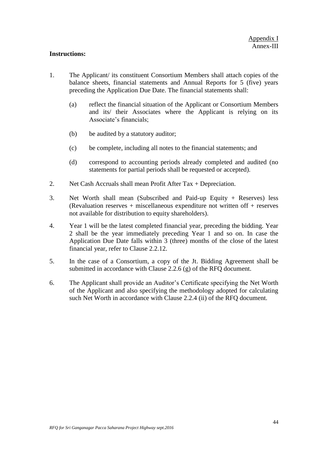#### **Instructions:**

- 1. The Applicant/ its constituent Consortium Members shall attach copies of the balance sheets, financial statements and Annual Reports for 5 (five) years preceding the Application Due Date. The financial statements shall:
	- (a) reflect the financial situation of the Applicant or Consortium Members and its/ their Associates where the Applicant is relying on its Associate's financials:
	- (b) be audited by a statutory auditor;
	- (c) be complete, including all notes to the financial statements; and
	- (d) correspond to accounting periods already completed and audited (no statements for partial periods shall be requested or accepted).
- 2. Net Cash Accruals shall mean Profit After Tax + Depreciation.
- 3. Net Worth shall mean (Subscribed and Paid-up Equity + Reserves) less (Revaluation reserves + miscellaneous expenditure not written off + reserves not available for distribution to equity shareholders).
- 4. Year 1 will be the latest completed financial year, preceding the bidding. Year 2 shall be the year immediately preceding Year 1 and so on. In case the Application Due Date falls within 3 (three) months of the close of the latest financial year, refer to Clause 2.2.12.
- 5. In the case of a Consortium, a copy of the Jt. Bidding Agreement shall be submitted in accordance with Clause 2.2.6 (g) of the RFQ document.
- 6. The Applicant shall provide an Auditor"s Certificate specifying the Net Worth of the Applicant and also specifying the methodology adopted for calculating such Net Worth in accordance with Clause 2.2.4 (ii) of the RFQ document.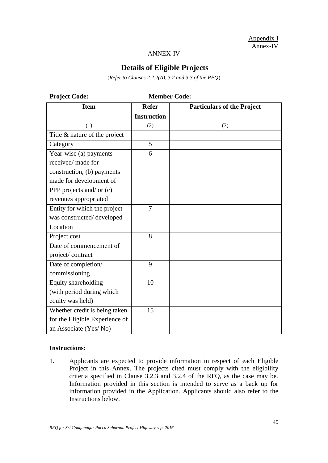Appendix I Annex-IV

#### ANNEX-IV

# **Details of Eligible Projects**

(*Refer to Clauses 2.2.2(A), 3.2 and 3.3 of the RFQ*)

| <b>Project Code:</b>           |                    | <b>Member Code:</b>               |
|--------------------------------|--------------------|-----------------------------------|
| <b>Item</b>                    | <b>Refer</b>       | <b>Particulars of the Project</b> |
|                                | <b>Instruction</b> |                                   |
| (1)                            | (2)                | (3)                               |
| Title & nature of the project  |                    |                                   |
| Category                       | 5                  |                                   |
| Year-wise (a) payments         | 6                  |                                   |
| received/ made for             |                    |                                   |
| construction, (b) payments     |                    |                                   |
| made for development of        |                    |                                   |
| PPP projects and/ or $(c)$     |                    |                                   |
| revenues appropriated          |                    |                                   |
| Entity for which the project   | $\overline{7}$     |                                   |
| was constructed/developed      |                    |                                   |
| Location                       |                    |                                   |
| Project cost                   | 8                  |                                   |
| Date of commencement of        |                    |                                   |
| project/contract               |                    |                                   |
| Date of completion/            | 9                  |                                   |
| commissioning                  |                    |                                   |
| Equity shareholding            | 10                 |                                   |
| (with period during which      |                    |                                   |
| equity was held)               |                    |                                   |
| Whether credit is being taken  | 15                 |                                   |
| for the Eligible Experience of |                    |                                   |
| an Associate (Yes/No)          |                    |                                   |

#### **Instructions:**

1. Applicants are expected to provide information in respect of each Eligible Project in this Annex. The projects cited must comply with the eligibility criteria specified in Clause 3.2.3 and 3.2.4 of the RFQ, as the case may be. Information provided in this section is intended to serve as a back up for information provided in the Application. Applicants should also refer to the Instructions below.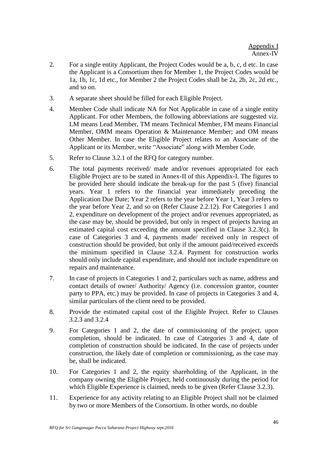- 2. For a single entity Applicant, the Project Codes would be a, b, c, d etc. In case the Applicant is a Consortium then for Member 1, the Project Codes would be 1a, 1b, 1c, 1d etc., for Member 2 the Project Codes shall be 2a, 2b, 2c, 2d etc., and so on.
- 3. A separate sheet should be filled for each Eligible Project.
- 4. Member Code shall indicate NA for Not Applicable in case of a single entity Applicant. For other Members, the following abbreviations are suggested viz. LM means Lead Member, TM means Technical Member, FM means Financial Member, OMM means Operation & Maintenance Member; and OM means Other Member. In case the Eligible Project relates to an Associate of the Applicant or its Member, write "Associate" along with Member Code.
- 5. Refer to Clause 3.2.1 of the RFQ for category number.
- 6. The total payments received/ made and/or revenues appropriated for each Eligible Project are to be stated in Annex-II of this Appendix-I. The figures to be provided here should indicate the break-up for the past 5 (five) financial years. Year 1 refers to the financial year immediately preceding the Application Due Date; Year 2 refers to the year before Year 1, Year 3 refers to the year before Year 2, and so on (Refer Clause 2.2.12). For Categories 1 and 2, expenditure on development of the project and/or revenues appropriated, as the case may be, should be provided, but only in respect of projects having an estimated capital cost exceeding the amount specified in Clause 3.2.3(c). In case of Categories 3 and 4, payments made/ received only in respect of construction should be provided, but only if the amount paid/received exceeds the minimum specified in Clause 3.2.4. Payment for construction works should only include capital expenditure, and should not include expenditure on repairs and maintenance.
- 7. In case of projects in Categories 1 and 2, particulars such as name, address and contact details of owner/ Authority/ Agency (i.e. concession grantor, counter party to PPA, etc.) may be provided. In case of projects in Categories 3 and 4, similar particulars of the client need to be provided.
- 8. Provide the estimated capital cost of the Eligible Project. Refer to Clauses 3.2.3 and 3.2.4
- 9. For Categories 1 and 2, the date of commissioning of the project, upon completion, should be indicated. In case of Categories 3 and 4, date of completion of construction should be indicated. In the case of projects under construction, the likely date of completion or commissioning, as the case may be, shall be indicated.
- 10. For Categories 1 and 2, the equity shareholding of the Applicant, in the company owning the Eligible Project, held continuously during the period for which Eligible Experience is claimed, needs to be given (Refer Clause 3.2.3).
- 11. Experience for any activity relating to an Eligible Project shall not be claimed by two or more Members of the Consortium. In other words, no double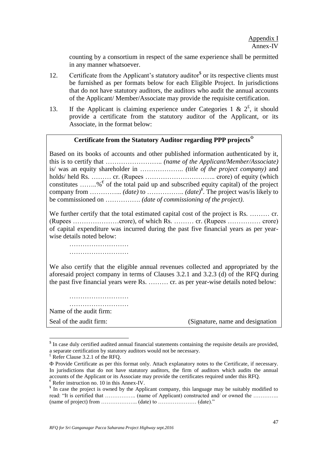counting by a consortium in respect of the same experience shall be permitted in any manner whatsoever.

- 12. Certificate from the Applicant's statutory auditor<sup>\$</sup> or its respective clients must be furnished as per formats below for each Eligible Project. In jurisdictions that do not have statutory auditors, the auditors who audit the annual accounts of the Applicant/ Member/Associate may provide the requisite certification.
- 13. If the Applicant is claiming experience under Categories 1 &  $2^{\xi}$ , it should provide a certificate from the statutory auditor of the Applicant, or its Associate, in the format below:

# **Certificate from the Statutory Auditor regarding PPP projects**

Based on its books of accounts and other published information authenticated by it, this is to certify that …………………….. *(name of the Applicant/Member/Associate)*  is/ was an equity shareholder in ……………….. *(title of the project company)* and holds/ held Rs. ……… cr. (Rupees ………………………….. crore) of equity (which constitutes ........%  $\epsilon$  of the total paid up and subscribed equity capital) of the project company from  $\dots$  *(date)* to  $\dots$  *(date)*<sup> $*$ </sup>. The project was/is likely to be commissioned on ……………. *(date of commissioning of the project)*.

We further certify that the total estimated capital cost of the project is Rs. ......... cr. (Rupees …………………crore), of which Rs. ……… cr. (Rupees …………… crore) of capital expenditure was incurred during the past five financial years as per yearwise details noted below:

……………………… ……………………………

We also certify that the eligible annual revenues collected and appropriated by the aforesaid project company in terms of Clauses 3.2.1 and 3.2.3 (d) of the RFQ during the past five financial years were Rs. ……… cr. as per year-wise details noted below:

…………………………… ……………………… Name of the audit firm:

Seal of the audit firm: (Signature, name and designation)

 $\overline{a}$ 

<sup>&</sup>lt;sup>\$</sup> In case duly certified audited annual financial statements containing the requisite details are provided, a separate certification by statutory auditors would not be necessary.

 $E$ <sup>£</sup> Refer Clause 3.2.1 of the RFQ.

Provide Certificate as per this format only. Attach explanatory notes to the Certificate, if necessary. In jurisdictions that do not have statutory auditors, the firm of auditors which audits the annual accounts of the Applicant or its Associate may provide the certificates required under this RFQ.  $\epsilon$  Refer instruction no. 10 in this Annex-IV.

<sup>&</sup>lt;sup>¥</sup> In case the project is owned by the Applicant company, this language may be suitably modified to read: "It is certified that …………….. (name of Applicant) constructed and/ or owned the …………. (name of project) from ……………….. (date) to ………………… (date)."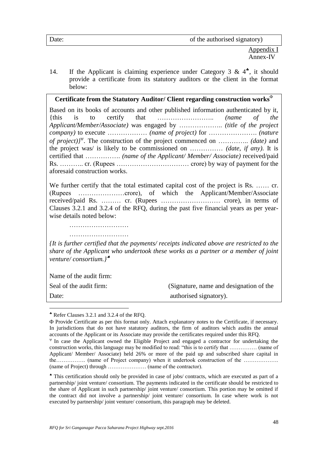Appendix I Annex-IV

14. If the Applicant is claiming experience under Category 3 &  $4^*$ , it should provide a certificate from its statutory auditors or the client in the format below:

# **Certificate from the Statutory Auditor/ Client regarding construction works**

Based on its books of accounts and other published information authenticated by it, {this is to certify that …………………….. *(name of the Applicant/Member/Associate)* was engaged by ……………….. *(title of the project company)* to execute ……………… *(name of project)* for …………………. *(nature of project)}* . The construction of the project commenced on ………….. *(date)* and the project was/ is likely to be commissioned on …………… *(date, if any)*. It is certified that ……………. *(name of the Applicant/ Member/ Associate)* received/paid Rs. ……….. cr. (Rupees …………………………… crore) by way of payment for the aforesaid construction works.

We further certify that the total estimated capital cost of the project is Rs. ...... cr. (Rupees …………………crore), of which the Applicant/Member/Associate received/paid Rs. ……… cr. (Rupees ……………………… crore), in terms of Clauses 3.2.1 and 3.2.4 of the RFQ, during the past five financial years as per yearwise details noted below:

……………………………

………………………

*{It is further certified that the payments/ receipts indicated above are restricted to the share of the Applicant who undertook these works as a partner or a member of joint venture/ consortium.}*

Name of the audit firm:

 $\overline{a}$ 

Seal of the audit firm: (Signature, name and designation of the Date: authorised signatory).

Refer Clauses 3.2.1 and 3.2.4 of the RFQ.

Provide Certificate as per this format only. Attach explanatory notes to the Certificate, if necessary. In jurisdictions that do not have statutory auditors, the firm of auditors which audits the annual accounts of the Applicant or its Associate may provide the certificates required under this RFQ.

 $\Psi$  In case the Applicant owned the Eligible Project and engaged a contractor for undertaking the construction works, this language may be modified to read: "this is to certify that …………… (name of Applicant/ Member/ Associate) held 26% or more of the paid up and subscribed share capital in the……………. (name of Project company) when it undertook construction of the ………………. (name of Project) through ………………… (name of the contractor).

This certification should only be provided in case of jobs/ contracts, which are executed as part of a partnership/ joint venture/ consortium. The payments indicated in the certificate should be restricted to the share of Applicant in such partnership/ joint venture/ consortium. This portion may be omitted if the contract did not involve a partnership/ joint venture/ consortium. In case where work is not executed by partnership/ joint venture/ consortium, this paragraph may be deleted.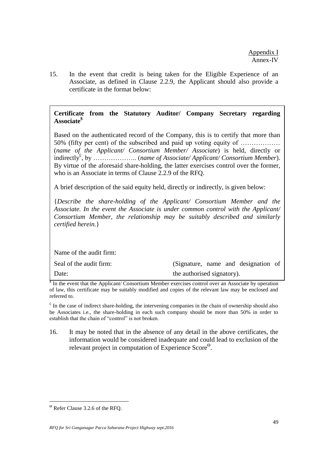15. In the event that credit is being taken for the Eligible Experience of an Associate, as defined in Clause 2.2.9, the Applicant should also provide a certificate in the format below:

# **Certificate from the Statutory Auditor/ Company Secretary regarding Associate\$**

Based on the authenticated record of the Company, this is to certify that more than 50% (fifty per cent) of the subscribed and paid up voting equity of ……………… (*name of the Applicant/ Consortium Member/ Associate*) is held, directly or indirectly£ , by ……………….. (*name of Associate/ Applicant/ Consortium Member*). By virtue of the aforesaid share-holding, the latter exercises control over the former, who is an Associate in terms of Clause 2.2.9 of the RFQ.

A brief description of the said equity held, directly or indirectly, is given below:

{*Describe the share-holding of the Applicant/ Consortium Member and the Associate. In the event the Associate is under common control with the Applicant/ Consortium Member, the relationship may be suitably described and similarly certified herein.*}

Name of the audit firm:

| Seal of the audit firm: | (Signature, name and designation of |
|-------------------------|-------------------------------------|
| Date:                   | the authorised signatory).          |

\$ In the event that the Applicant/ Consortium Member exercises control over an Associate by operation of law, this certificate may be suitably modified and copies of the relevant law may be enclosed and referred to.

 $\epsilon$  In the case of indirect share-holding, the intervening companies in the chain of ownership should also be Associates i.e., the share-holding in each such company should be more than 50% in order to establish that the chain of "control" is not broken.

16. It may be noted that in the absence of any detail in the above certificates, the information would be considered inadequate and could lead to exclusion of the relevant project in computation of Experience Score<sup>®</sup>.

 $\overline{a}$ 

Refer Clause 3.2.6 of the RFQ.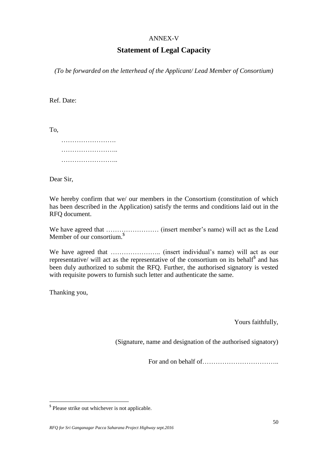#### ANNEX-V

# **Statement of Legal Capacity**

*(To be forwarded on the letterhead of the Applicant/ Lead Member of Consortium)*

Ref. Date:

To,

|  |   | . |   |  |  |  |  |  |  | . |  |          |  |
|--|---|---|---|--|--|--|--|--|--|---|--|----------|--|
|  | . |   | . |  |  |  |  |  |  |   |  | $\cdots$ |  |
|  |   |   | . |  |  |  |  |  |  |   |  |          |  |

Dear Sir,

We hereby confirm that we/ our members in the Consortium (constitution of which has been described in the Application) satisfy the terms and conditions laid out in the RFQ document.

We have agreed that …………………… (insert member"s name) will act as the Lead Member of our consortium.<sup>\$</sup>

We have agreed that ………………….. (insert individual"s name) will act as our representative/ will act as the representative of the consortium on its behalf<sup>\$</sup> and has been duly authorized to submit the RFQ. Further, the authorised signatory is vested with requisite powers to furnish such letter and authenticate the same.

Thanking you,

 $\overline{a}$ 

Yours faithfully,

(Signature, name and designation of the authorised signatory)

For and on behalf of……………………………..

<sup>\$</sup> Please strike out whichever is not applicable*.*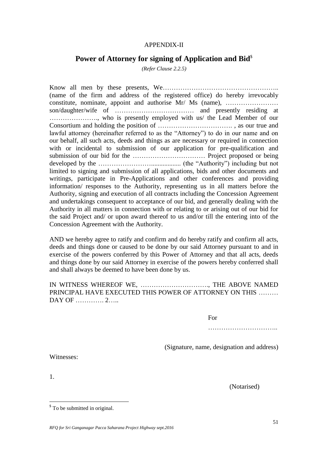#### APPENDIX-II

# Power of Attorney for signing of Application and Bid<sup>§</sup>

*(Refer Clause 2.2.5)*

Know all men by these presents, We…………………………………………….. (name of the firm and address of the registered office) do hereby irrevocably constitute, nominate, appoint and authorise Mr/ Ms (name), …………………… son/daughter/wife of ……………………………… and presently residing at …………………., who is presently employed with us/ the Lead Member of our Consortium and holding the position of ……………………………. , as our true and lawful attorney (hereinafter referred to as the "Attorney") to do in our name and on our behalf, all such acts, deeds and things as are necessary or required in connection with or incidental to submission of our application for pre-qualification and submission of our bid for the …………………………… Project proposed or being developed by the …………………….................. (the "Authority") including but not limited to signing and submission of all applications, bids and other documents and writings, participate in Pre-Applications and other conferences and providing information/ responses to the Authority, representing us in all matters before the Authority, signing and execution of all contracts including the Concession Agreement and undertakings consequent to acceptance of our bid, and generally dealing with the Authority in all matters in connection with or relating to or arising out of our bid for the said Project and/ or upon award thereof to us and/or till the entering into of the Concession Agreement with the Authority.

AND we hereby agree to ratify and confirm and do hereby ratify and confirm all acts, deeds and things done or caused to be done by our said Attorney pursuant to and in exercise of the powers conferred by this Power of Attorney and that all acts, deeds and things done by our said Attorney in exercise of the powers hereby conferred shall and shall always be deemed to have been done by us.

IN WITNESS WHEREOF WE, …………………………., THE ABOVE NAMED PRINCIPAL HAVE EXECUTED THIS POWER OF ATTORNEY ON THIS ……… DAY OF …………. 2……

For

……………………………………

(Signature, name, designation and address)

Witnesses:

1.

 $\overline{a}$ 

(Notarised)

 $\delta$  To be submitted in original.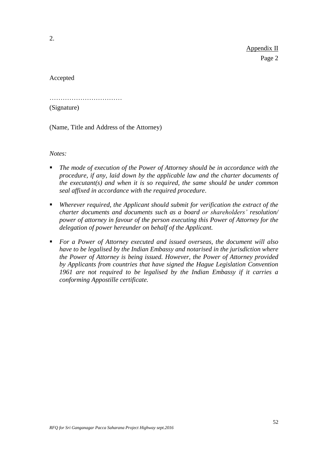Appendix II Page 2

Accepted

……………………………………

(Signature)

(Name, Title and Address of the Attorney)

*Notes:* 

- *The mode of execution of the Power of Attorney should be in accordance with the procedure, if any, laid down by the applicable law and the charter documents of the executant(s) and when it is so required, the same should be under common seal affixed in accordance with the required procedure*.
- *Wherever required, the Applicant should submit for verification the extract of the charter documents and documents such as a board or shareholders' resolution/ power of attorney in favour of the person executing this Power of Attorney for the delegation of power hereunder on behalf of the Applicant.*
- *For a Power of Attorney executed and issued overseas, the document will also have to be legalised by the Indian Embassy and notarised in the jurisdiction where the Power of Attorney is being issued. However, the Power of Attorney provided by Applicants from countries that have signed the Hague Legislation Convention 1961 are not required to be legalised by the Indian Embassy if it carries a conforming Appostille certificate.*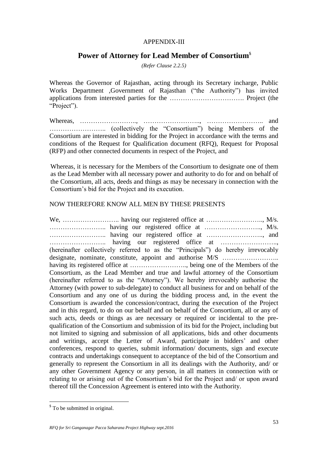#### APPENDIX-III

# **Power of Attorney for Lead Member of Consortium**\$

*(Refer Clause 2.2.5)*

Whereas the Governor of Rajasthan, acting through its Secretary incharge, Public Works Department ,Government of Rajasthan ("the Authority") has invited applications from interested parties for the ……………………………. Project (the "Project").

Whereas, …………………….., …………………….., …………………….. and …………………….. (collectively the "Consortium") being Members of the Consortium are interested in bidding for the Project in accordance with the terms and conditions of the Request for Qualification document (RFQ), Request for Proposal (RFP) and other connected documents in respect of the Project, and

Whereas, it is necessary for the Members of the Consortium to designate one of them as the Lead Member with all necessary power and authority to do for and on behalf of the Consortium, all acts, deeds and things as may be necessary in connection with the Consortium"s bid for the Project and its execution.

#### NOW THEREFORE KNOW ALL MEN BY THESE PRESENTS

We, …………………….. having our registered office at …………………….., M/s. …………………….. having our registered office at …………………….., M/s. …………………….. having our registered office at …………………….., and …………………….. having our registered office at …………………….., (hereinafter collectively referred to as the "Principals") do hereby irrevocably designate, nominate, constitute, appoint and authorise M/S …………………….. having its registered office at …………………….., being one of the Members of the Consortium, as the Lead Member and true and lawful attorney of the Consortium (hereinafter referred to as the "Attorney"). We hereby irrevocably authorise the Attorney (with power to sub-delegate) to conduct all business for and on behalf of the Consortium and any one of us during the bidding process and, in the event the Consortium is awarded the concession/contract, during the execution of the Project and in this regard, to do on our behalf and on behalf of the Consortium, all or any of such acts, deeds or things as are necessary or required or incidental to the prequalification of the Consortium and submission of its bid for the Project, including but not limited to signing and submission of all applications, bids and other documents and writings, accept the Letter of Award, participate in bidders' and other conferences, respond to queries, submit information/ documents, sign and execute contracts and undertakings consequent to acceptance of the bid of the Consortium and generally to represent the Consortium in all its dealings with the Authority, and/ or any other Government Agency or any person, in all matters in connection with or relating to or arising out of the Consortium"s bid for the Project and/ or upon award thereof till the Concession Agreement is entered into with the Authority.

 $\overline{a}$ 

<sup>&</sup>lt;sup>\$</sup> To be submitted in original.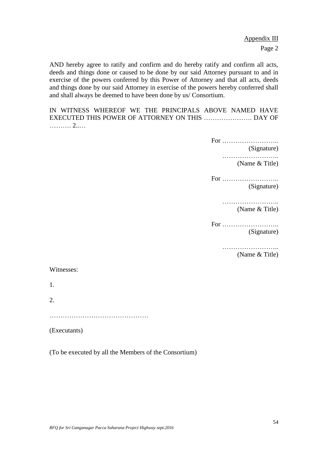Appendix III Page 2

AND hereby agree to ratify and confirm and do hereby ratify and confirm all acts, deeds and things done or caused to be done by our said Attorney pursuant to and in exercise of the powers conferred by this Power of Attorney and that all acts, deeds and things done by our said Attorney in exercise of the powers hereby conferred shall and shall always be deemed to have been done by us/ Consortium.

IN WITNESS WHEREOF WE THE PRINCIPALS ABOVE NAMED HAVE EXECUTED THIS POWER OF ATTORNEY ON THIS …………………. DAY OF ………. 2..…

For ……………………..

(Signature)

…………………….. (Name & Title)

For …………………….. (Signature)

> ………………………… (Name & Title)

For …………………….. (Signature)

……………………..

(Name & Title)

Witnesses:

1.

2.

……………………………………………

(Executants)

(To be executed by all the Members of the Consortium)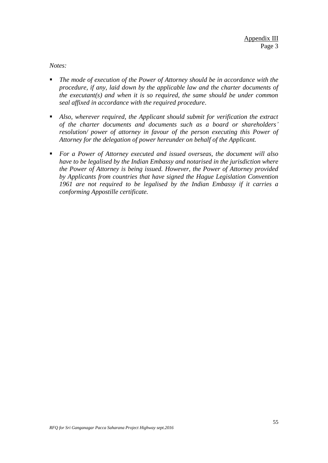*Notes:*

- *The mode of execution of the Power of Attorney should be in accordance with the procedure, if any, laid down by the applicable law and the charter documents of the executant(s) and when it is so required, the same should be under common seal affixed in accordance with the required procedure*.
- *Also, wherever required, the Applicant should submit for verification the extract of the charter documents and documents such as a board or shareholders' resolution/ power of attorney in favour of the person executing this Power of Attorney for the delegation of power hereunder on behalf of the Applicant.*
- *For a Power of Attorney executed and issued overseas, the document will also have to be legalised by the Indian Embassy and notarised in the jurisdiction where the Power of Attorney is being issued. However, the Power of Attorney provided by Applicants from countries that have signed the Hague Legislation Convention 1961 are not required to be legalised by the Indian Embassy if it carries a conforming Appostille certificate.*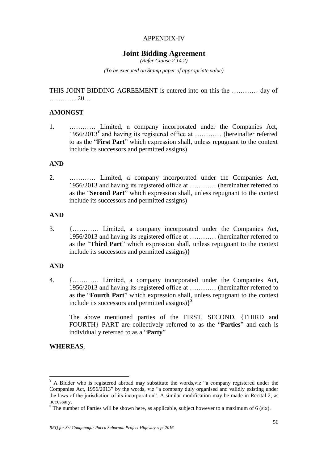# APPENDIX-IV

# **Joint Bidding Agreement**

*(Refer Clause 2.14.2)*

*(To be executed on Stamp paper of appropriate value)*

THIS JOINT BIDDING AGREEMENT is entered into on this the ………… day of ………… 20…

### **AMONGST**

1. ………… Limited, a company incorporated under the Companies Act, 1956/2013<sup>¥</sup> and having its registered office at ............ (hereinafter referred to as the "**First Part**" which expression shall, unless repugnant to the context include its successors and permitted assigns)

#### **AND**

2. ………… Limited, a company incorporated under the Companies Act, 1956/2013 and having its registered office at ………… (hereinafter referred to as the "**Second Part**" which expression shall, unless repugnant to the context include its successors and permitted assigns)

#### **AND**

3. {………… Limited, a company incorporated under the Companies Act, 1956/2013 and having its registered office at ………… (hereinafter referred to as the "**Third Part**" which expression shall, unless repugnant to the context include its successors and permitted assigns)}

#### **AND**

4. {………… Limited, a company incorporated under the Companies Act, 1956/2013 and having its registered office at ………… (hereinafter referred to as the "**Fourth Part**" which expression shall, unless repugnant to the context include its successors and permitted assigns)}<sup>\$</sup>

The above mentioned parties of the FIRST, SECOND, {THIRD and FOURTH} PART are collectively referred to as the "**Parties**" and each is individually referred to as a "**Party**"

### **WHEREAS**,

 $\overline{a}$ 

<sup>&</sup>lt;sup>¥</sup> A Bidder who is registered abroad may substitute the words, viz "a company registered under the Companies Act, 1956/2013" by the words, viz "a company duly organised and validly existing under the laws of the jurisdiction of its incorporation". A similar modification may be made in Recital 2, as necessary.

 $\delta$  The number of Parties will be shown here, as applicable, subject however to a maximum of 6 (six).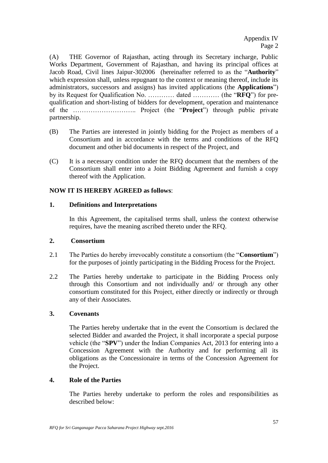(A) THE Governor of Rajasthan, acting through its Secretary incharge, Public Works Department, Government of Rajasthan, and having its principal offices at Jacob Road, Civil lines Jaipur-302006 (hereinafter referred to as the "**Authority**" which expression shall, unless repugnant to the context or meaning thereof, include its administrators, successors and assigns) has invited applications (the **Applications**") by its Request for Qualification No. ………… dated ………… (the "**RFQ**") for prequalification and short-listing of bidders for development, operation and maintenance of the ……………………….. Project (the "**Project**") through public private partnership.

- (B) The Parties are interested in jointly bidding for the Project as members of a Consortium and in accordance with the terms and conditions of the RFQ document and other bid documents in respect of the Project, and
- (C) It is a necessary condition under the RFQ document that the members of the Consortium shall enter into a Joint Bidding Agreement and furnish a copy thereof with the Application.

# **NOW IT IS HEREBY AGREED as follows**:

## **1. Definitions and Interpretations**

In this Agreement, the capitalised terms shall, unless the context otherwise requires, have the meaning ascribed thereto under the RFQ.

#### **2. Consortium**

- 2.1 The Parties do hereby irrevocably constitute a consortium (the "**Consortium**") for the purposes of jointly participating in the Bidding Process for the Project.
- 2.2 The Parties hereby undertake to participate in the Bidding Process only through this Consortium and not individually and/ or through any other consortium constituted for this Project, either directly or indirectly or through any of their Associates.

# **3. Covenants**

The Parties hereby undertake that in the event the Consortium is declared the selected Bidder and awarded the Project, it shall incorporate a special purpose vehicle (the "**SPV**") under the Indian Companies Act, 2013 for entering into a Concession Agreement with the Authority and for performing all its obligations as the Concessionaire in terms of the Concession Agreement for the Project.

# **4. Role of the Parties**

The Parties hereby undertake to perform the roles and responsibilities as described below: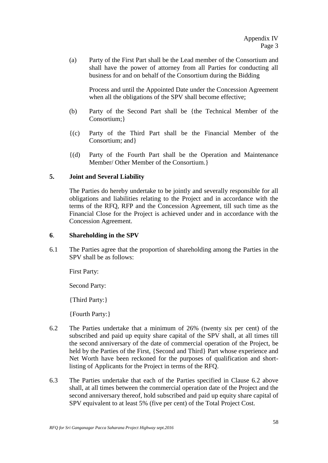(a) Party of the First Part shall be the Lead member of the Consortium and shall have the power of attorney from all Parties for conducting all business for and on behalf of the Consortium during the Bidding

Process and until the Appointed Date under the Concession Agreement when all the obligations of the SPV shall become effective;

- (b) Party of the Second Part shall be {the Technical Member of the Consortium;}
- {(c) Party of the Third Part shall be the Financial Member of the Consortium; and}
- {(d) Party of the Fourth Part shall be the Operation and Maintenance Member/ Other Member of the Consortium.}

## **5. Joint and Several Liability**

The Parties do hereby undertake to be jointly and severally responsible for all obligations and liabilities relating to the Project and in accordance with the terms of the RFQ, RFP and the Concession Agreement, till such time as the Financial Close for the Project is achieved under and in accordance with the Concession Agreement.

#### **6**. **Shareholding in the SPV**

6.1 The Parties agree that the proportion of shareholding among the Parties in the SPV shall be as follows:

First Party:

Second Party:

{Third Party:}

{Fourth Party:}

- 6.2 The Parties undertake that a minimum of 26% (twenty six per cent) of the subscribed and paid up equity share capital of the SPV shall, at all times till the second anniversary of the date of commercial operation of the Project, be held by the Parties of the First, {Second and Third} Part whose experience and Net Worth have been reckoned for the purposes of qualification and shortlisting of Applicants for the Project in terms of the RFQ.
- 6.3 The Parties undertake that each of the Parties specified in Clause 6.2 above shall, at all times between the commercial operation date of the Project and the second anniversary thereof, hold subscribed and paid up equity share capital of SPV equivalent to at least 5% (five per cent) of the Total Project Cost.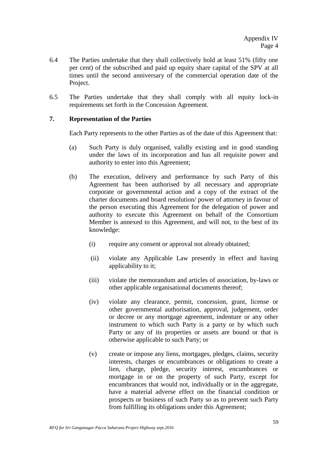- 6.4 The Parties undertake that they shall collectively hold at least 51% (fifty one per cent) of the subscribed and paid up equity share capital of the SPV at all times until the second anniversary of the commercial operation date of the Project.
- 6.5 The Parties undertake that they shall comply with all equity lock-in requirements set forth in the Concession Agreement.

#### **7. Representation of the Parties**

Each Party represents to the other Parties as of the date of this Agreement that:

- (a) Such Party is duly organised, validly existing and in good standing under the laws of its incorporation and has all requisite power and authority to enter into this Agreement;
- (b) The execution, delivery and performance by such Party of this Agreement has been authorised by all necessary and appropriate corporate or governmental action and a copy of the extract of the charter documents and board resolution/ power of attorney in favour of the person executing this Agreement for the delegation of power and authority to execute this Agreement on behalf of the Consortium Member is annexed to this Agreement, and will not, to the best of its knowledge:
	- (i) require any consent or approval not already obtained;
	- (ii) violate any Applicable Law presently in effect and having applicability to it;
	- (iii) violate the memorandum and articles of association, by-laws or other applicable organisational documents thereof;
	- (iv) violate any clearance, permit, concession, grant, license or other governmental authorisation, approval, judgement, order or decree or any mortgage agreement, indenture or any other instrument to which such Party is a party or by which such Party or any of its properties or assets are bound or that is otherwise applicable to such Party; or
	- (v) create or impose any liens, mortgages, pledges, claims, security interests, charges or encumbrances or obligations to create a lien, charge, pledge, security interest, encumbrances or mortgage in or on the property of such Party, except for encumbrances that would not, individually or in the aggregate, have a material adverse effect on the financial condition or prospects or business of such Party so as to prevent such Party from fulfilling its obligations under this Agreement;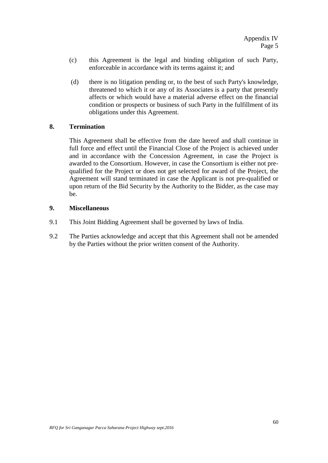- (c) this Agreement is the legal and binding obligation of such Party, enforceable in accordance with its terms against it; and
- (d) there is no litigation pending or, to the best of such Party's knowledge, threatened to which it or any of its Associates is a party that presently affects or which would have a material adverse effect on the financial condition or prospects or business of such Party in the fulfillment of its obligations under this Agreement.

## **8. Termination**

This Agreement shall be effective from the date hereof and shall continue in full force and effect until the Financial Close of the Project is achieved under and in accordance with the Concession Agreement, in case the Project is awarded to the Consortium. However, in case the Consortium is either not prequalified for the Project or does not get selected for award of the Project, the Agreement will stand terminated in case the Applicant is not pre-qualified or upon return of the Bid Security by the Authority to the Bidder, as the case may be.

### **9. Miscellaneous**

- 9.1 This Joint Bidding Agreement shall be governed by laws of India.
- 9.2 The Parties acknowledge and accept that this Agreement shall not be amended by the Parties without the prior written consent of the Authority.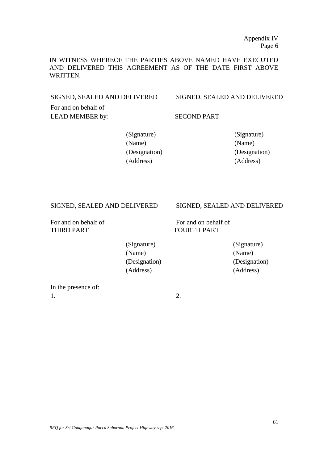IN WITNESS WHEREOF THE PARTIES ABOVE NAMED HAVE EXECUTED AND DELIVERED THIS AGREEMENT AS OF THE DATE FIRST ABOVE WRITTEN.

SIGNED, SEALED AND DELIVERED SIGNED, SEALED AND DELIVERED

For and on behalf of LEAD MEMBER by: SECOND PART

(Signature) (Signature) (Name) (Name) (Designation) (Designation) (Address) (Address)

THIRD PART FOURTH PART

#### SIGNED, SEALED AND DELIVERED SIGNED, SEALED AND DELIVERED

For and on behalf of For and on behalf of

(Signature) (Signature) (Name) (Name) (Designation) (Designation) (Address) (Address)

In the presence of:  $1.$  2.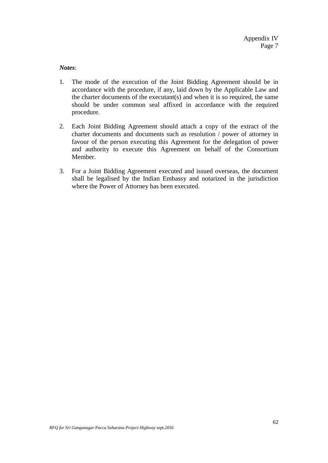*Notes*:

- 1. The mode of the execution of the Joint Bidding Agreement should be in accordance with the procedure, if any, laid down by the Applicable Law and the charter documents of the executant(s) and when it is so required, the same should be under common seal affixed in accordance with the required procedure.
- 2. Each Joint Bidding Agreement should attach a copy of the extract of the charter documents and documents such as resolution / power of attorney in favour of the person executing this Agreement for the delegation of power and authority to execute this Agreement on behalf of the Consortium Member.
- 3. For a Joint Bidding Agreement executed and issued overseas, the document shall be legalised by the Indian Embassy and notarized in the jurisdiction where the Power of Attorney has been executed.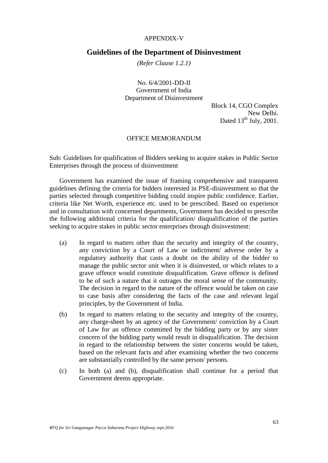#### APPENDIX-V

### **Guidelines of the Department of Disinvestment**

*(Refer Clause 1.2.1)*

No. 6/4/2001-DD-II Government of India Department of Disinvestment

> Block 14, CGO Complex New Delhi. Dated  $13^{th}$  July, 2001.

#### OFFICE MEMORANDUM

Sub: Guidelines for qualification of Bidders seeking to acquire stakes in Public Sector Enterprises through the process of disinvestment

Government has examined the issue of framing comprehensive and transparent guidelines defining the criteria for bidders interested in PSE-disinvestment so that the parties selected through competitive bidding could inspire public confidence. Earlier, criteria like Net Worth, experience etc. used to be prescribed. Based on experience and in consultation with concerned departments, Government has decided to prescribe the following additional criteria for the qualification/ disqualification of the parties seeking to acquire stakes in public sector enterprises through disinvestment:

- (a) In regard to matters other than the security and integrity of the country, any conviction by a Court of Law or indictment/ adverse order by a regulatory authority that casts a doubt on the ability of the bidder to manage the public sector unit when it is disinvested, or which relates to a grave offence would constitute disqualification. Grave offence is defined to be of such a nature that it outrages the moral sense of the community. The decision in regard to the nature of the offence would be taken on case to case basis after considering the facts of the case and relevant legal principles, by the Government of India.
- (b) In regard to matters relating to the security and integrity of the country, any charge-sheet by an agency of the Government/ conviction by a Court of Law for an offence committed by the bidding party or by any sister concern of the bidding party would result in disqualification. The decision in regard to the relationship between the sister concerns would be taken, based on the relevant facts and after examining whether the two concerns are substantially controlled by the same person/ persons.
- (c) In both (a) and (b), disqualification shall continue for a period that Government deems appropriate.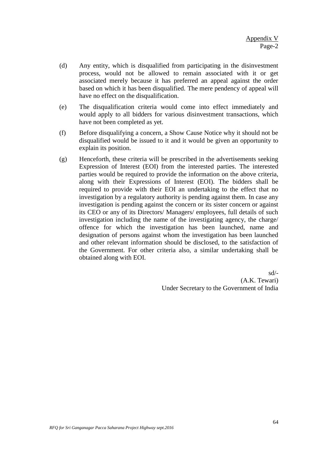- (d) Any entity, which is disqualified from participating in the disinvestment process, would not be allowed to remain associated with it or get associated merely because it has preferred an appeal against the order based on which it has been disqualified. The mere pendency of appeal will have no effect on the disqualification.
- (e) The disqualification criteria would come into effect immediately and would apply to all bidders for various disinvestment transactions, which have not been completed as yet.
- (f) Before disqualifying a concern, a Show Cause Notice why it should not be disqualified would be issued to it and it would be given an opportunity to explain its position.
- (g) Henceforth, these criteria will be prescribed in the advertisements seeking Expression of Interest (EOI) from the interested parties. The interested parties would be required to provide the information on the above criteria, along with their Expressions of Interest (EOI). The bidders shall be required to provide with their EOI an undertaking to the effect that no investigation by a regulatory authority is pending against them. In case any investigation is pending against the concern or its sister concern or against its CEO or any of its Directors/ Managers/ employees, full details of such investigation including the name of the investigating agency, the charge/ offence for which the investigation has been launched, name and designation of persons against whom the investigation has been launched and other relevant information should be disclosed, to the satisfaction of the Government. For other criteria also, a similar undertaking shall be obtained along with EOI.

sd/- (A.K. Tewari) Under Secretary to the Government of India